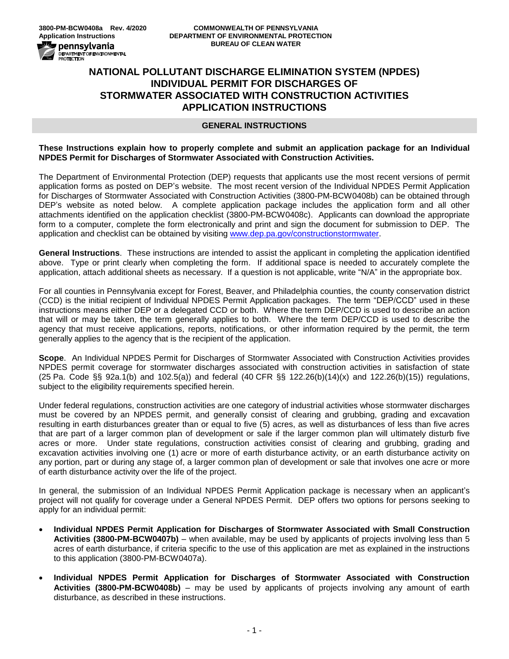

# **NATIONAL POLLUTANT DISCHARGE ELIMINATION SYSTEM (NPDES) INDIVIDUAL PERMIT FOR DISCHARGES OF STORMWATER ASSOCIATED WITH CONSTRUCTION ACTIVITIES APPLICATION INSTRUCTIONS**

### **GENERAL INSTRUCTIONS**

#### **These Instructions explain how to properly complete and submit an application package for an Individual NPDES Permit for Discharges of Stormwater Associated with Construction Activities.**

The Department of Environmental Protection (DEP) requests that applicants use the most recent versions of permit application forms as posted on DEP's website. The most recent version of the Individual NPDES Permit Application for Discharges of Stormwater Associated with Construction Activities (3800-PM-BCW0408b) can be obtained through DEP's website as noted below. A complete application package includes the application form and all other attachments identified on the application checklist (3800-PM-BCW0408c). Applicants can download the appropriate form to a computer, complete the form electronically and print and sign the document for submission to DEP. The application and checklist can be obtained by visiting [www.dep.pa.gov/constructionstormwater.](http://www.dep.pa.gov/constructionstormwater)

**General Instructions**. These instructions are intended to assist the applicant in completing the application identified above. Type or print clearly when completing the form. If additional space is needed to accurately complete the application, attach additional sheets as necessary. If a question is not applicable, write "N/A" in the appropriate box.

For all counties in Pennsylvania except for Forest, Beaver, and Philadelphia counties, the county conservation district (CCD) is the initial recipient of Individual NPDES Permit Application packages. The term "DEP/CCD" used in these instructions means either DEP or a delegated CCD or both. Where the term DEP/CCD is used to describe an action that will or may be taken, the term generally applies to both. Where the term DEP/CCD is used to describe the agency that must receive applications, reports, notifications, or other information required by the permit, the term generally applies to the agency that is the recipient of the application.

**Scope**. An Individual NPDES Permit for Discharges of Stormwater Associated with Construction Activities provides NPDES permit coverage for stormwater discharges associated with construction activities in satisfaction of state (25 Pa. Code §§ 92a.1(b) and 102.5(a)) and federal (40 CFR §§ 122.26(b)(14)(x) and 122.26(b)(15)) regulations, subject to the eligibility requirements specified herein.

Under federal regulations, construction activities are one category of industrial activities whose stormwater discharges must be covered by an NPDES permit, and generally consist of clearing and grubbing, grading and excavation resulting in earth disturbances greater than or equal to five (5) acres, as well as disturbances of less than five acres that are part of a larger common plan of development or sale if the larger common plan will ultimately disturb five acres or more. Under state regulations, construction activities consist of clearing and grubbing, grading and excavation activities involving one (1) acre or more of earth disturbance activity, or an earth disturbance activity on any portion, part or during any stage of, a larger common plan of development or sale that involves one acre or more of earth disturbance activity over the life of the project.

In general, the submission of an Individual NPDES Permit Application package is necessary when an applicant's project will not qualify for coverage under a General NPDES Permit. DEP offers two options for persons seeking to apply for an individual permit:

- **Individual NPDES Permit Application for Discharges of Stormwater Associated with Small Construction Activities (3800-PM-BCW0407b)** – when available, may be used by applicants of projects involving less than 5 acres of earth disturbance, if criteria specific to the use of this application are met as explained in the instructions to this application (3800-PM-BCW0407a).
- **Individual NPDES Permit Application for Discharges of Stormwater Associated with Construction Activities (3800-PM-BCW0408b)** – may be used by applicants of projects involving any amount of earth disturbance, as described in these instructions.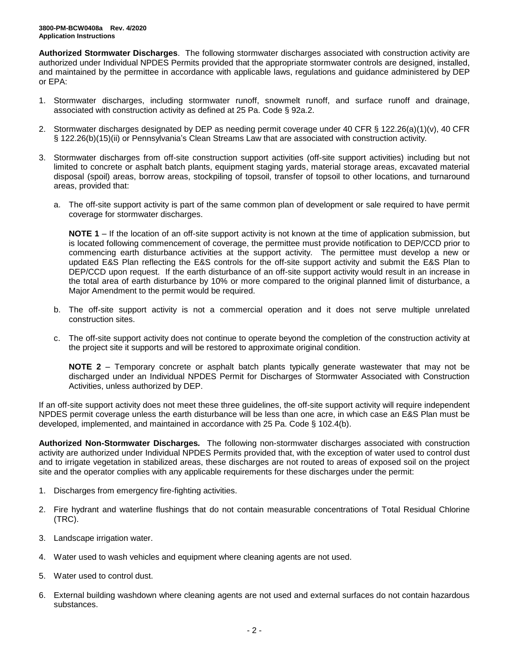**Authorized Stormwater Discharges**. The following stormwater discharges associated with construction activity are authorized under Individual NPDES Permits provided that the appropriate stormwater controls are designed, installed, and maintained by the permittee in accordance with applicable laws, regulations and guidance administered by DEP or EPA:

- 1. Stormwater discharges, including stormwater runoff, snowmelt runoff, and surface runoff and drainage, associated with construction activity as defined at 25 Pa. Code § 92a.2.
- 2. Stormwater discharges designated by DEP as needing permit coverage under 40 CFR § 122.26(a)(1)(v), 40 CFR § 122.26(b)(15)(ii) or Pennsylvania's Clean Streams Law that are associated with construction activity.
- 3. Stormwater discharges from off-site construction support activities (off-site support activities) including but not limited to concrete or asphalt batch plants, equipment staging yards, material storage areas, excavated material disposal (spoil) areas, borrow areas, stockpiling of topsoil, transfer of topsoil to other locations, and turnaround areas, provided that:
	- a. The off-site support activity is part of the same common plan of development or sale required to have permit coverage for stormwater discharges.

**NOTE 1** – If the location of an off-site support activity is not known at the time of application submission, but is located following commencement of coverage, the permittee must provide notification to DEP/CCD prior to commencing earth disturbance activities at the support activity. The permittee must develop a new or updated E&S Plan reflecting the E&S controls for the off-site support activity and submit the E&S Plan to DEP/CCD upon request. If the earth disturbance of an off-site support activity would result in an increase in the total area of earth disturbance by 10% or more compared to the original planned limit of disturbance, a Major Amendment to the permit would be required.

- b. The off-site support activity is not a commercial operation and it does not serve multiple unrelated construction sites.
- c. The off-site support activity does not continue to operate beyond the completion of the construction activity at the project site it supports and will be restored to approximate original condition.

**NOTE 2** – Temporary concrete or asphalt batch plants typically generate wastewater that may not be discharged under an Individual NPDES Permit for Discharges of Stormwater Associated with Construction Activities, unless authorized by DEP.

If an off-site support activity does not meet these three guidelines, the off-site support activity will require independent NPDES permit coverage unless the earth disturbance will be less than one acre, in which case an E&S Plan must be developed, implemented, and maintained in accordance with 25 Pa. Code § 102.4(b).

**Authorized Non-Stormwater Discharges***.* The following non-stormwater discharges associated with construction activity are authorized under Individual NPDES Permits provided that, with the exception of water used to control dust and to irrigate vegetation in stabilized areas, these discharges are not routed to areas of exposed soil on the project site and the operator complies with any applicable requirements for these discharges under the permit:

- 1. Discharges from emergency fire-fighting activities.
- 2. Fire hydrant and waterline flushings that do not contain measurable concentrations of Total Residual Chlorine (TRC).
- 3. Landscape irrigation water.
- 4. Water used to wash vehicles and equipment where cleaning agents are not used.
- 5. Water used to control dust.
- 6. External building washdown where cleaning agents are not used and external surfaces do not contain hazardous substances.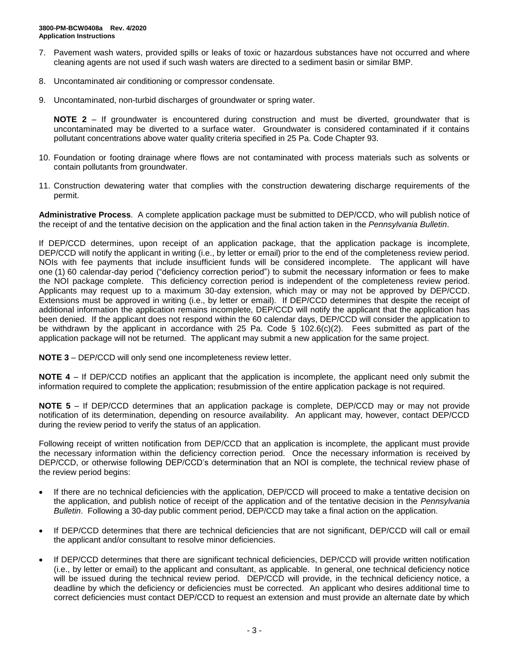- 7. Pavement wash waters, provided spills or leaks of toxic or hazardous substances have not occurred and where cleaning agents are not used if such wash waters are directed to a sediment basin or similar BMP.
- 8. Uncontaminated air conditioning or compressor condensate.
- 9. Uncontaminated, non-turbid discharges of groundwater or spring water.

**NOTE 2** – If groundwater is encountered during construction and must be diverted, groundwater that is uncontaminated may be diverted to a surface water. Groundwater is considered contaminated if it contains pollutant concentrations above water quality criteria specified in 25 Pa. Code Chapter 93.

- 10. Foundation or footing drainage where flows are not contaminated with process materials such as solvents or contain pollutants from groundwater.
- 11. Construction dewatering water that complies with the construction dewatering discharge requirements of the permit.

**Administrative Process**. A complete application package must be submitted to DEP/CCD, who will publish notice of the receipt of and the tentative decision on the application and the final action taken in the *Pennsylvania Bulletin*.

If DEP/CCD determines, upon receipt of an application package, that the application package is incomplete, DEP/CCD will notify the applicant in writing (i.e., by letter or email) prior to the end of the completeness review period. NOIs with fee payments that include insufficient funds will be considered incomplete. The applicant will have one (1) 60 calendar-day period ("deficiency correction period") to submit the necessary information or fees to make the NOI package complete. This deficiency correction period is independent of the completeness review period. Applicants may request up to a maximum 30-day extension, which may or may not be approved by DEP/CCD. Extensions must be approved in writing (i.e., by letter or email). If DEP/CCD determines that despite the receipt of additional information the application remains incomplete, DEP/CCD will notify the applicant that the application has been denied. If the applicant does not respond within the 60 calendar days, DEP/CCD will consider the application to be withdrawn by the applicant in accordance with 25 Pa. Code § 102.6(c)(2). Fees submitted as part of the application package will not be returned. The applicant may submit a new application for the same project.

**NOTE 3** – DEP/CCD will only send one incompleteness review letter.

**NOTE 4** – If DEP/CCD notifies an applicant that the application is incomplete, the applicant need only submit the information required to complete the application; resubmission of the entire application package is not required.

**NOTE 5** – If DEP/CCD determines that an application package is complete, DEP/CCD may or may not provide notification of its determination, depending on resource availability. An applicant may, however, contact DEP/CCD during the review period to verify the status of an application.

Following receipt of written notification from DEP/CCD that an application is incomplete, the applicant must provide the necessary information within the deficiency correction period. Once the necessary information is received by DEP/CCD, or otherwise following DEP/CCD's determination that an NOI is complete, the technical review phase of the review period begins:

- If there are no technical deficiencies with the application, DEP/CCD will proceed to make a tentative decision on the application, and publish notice of receipt of the application and of the tentative decision in the *Pennsylvania Bulletin*. Following a 30-day public comment period, DEP/CCD may take a final action on the application.
- If DEP/CCD determines that there are technical deficiencies that are not significant, DEP/CCD will call or email the applicant and/or consultant to resolve minor deficiencies.
- If DEP/CCD determines that there are significant technical deficiencies, DEP/CCD will provide written notification (i.e., by letter or email) to the applicant and consultant, as applicable. In general, one technical deficiency notice will be issued during the technical review period. DEP/CCD will provide, in the technical deficiency notice, a deadline by which the deficiency or deficiencies must be corrected. An applicant who desires additional time to correct deficiencies must contact DEP/CCD to request an extension and must provide an alternate date by which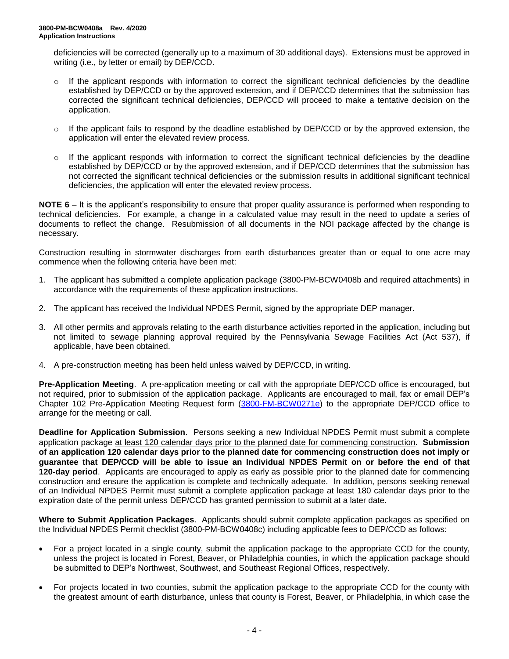deficiencies will be corrected (generally up to a maximum of 30 additional days). Extensions must be approved in writing (i.e., by letter or email) by DEP/CCD.

- $\circ$  If the applicant responds with information to correct the significant technical deficiencies by the deadline established by DEP/CCD or by the approved extension, and if DEP/CCD determines that the submission has corrected the significant technical deficiencies, DEP/CCD will proceed to make a tentative decision on the application.
- $\circ$  If the applicant fails to respond by the deadline established by DEP/CCD or by the approved extension, the application will enter the elevated review process.
- $\circ$  If the applicant responds with information to correct the significant technical deficiencies by the deadline established by DEP/CCD or by the approved extension, and if DEP/CCD determines that the submission has not corrected the significant technical deficiencies or the submission results in additional significant technical deficiencies, the application will enter the elevated review process.

**NOTE 6** – It is the applicant's responsibility to ensure that proper quality assurance is performed when responding to technical deficiencies. For example, a change in a calculated value may result in the need to update a series of documents to reflect the change. Resubmission of all documents in the NOI package affected by the change is necessary.

Construction resulting in stormwater discharges from earth disturbances greater than or equal to one acre may commence when the following criteria have been met:

- 1. The applicant has submitted a complete application package (3800-PM-BCW0408b and required attachments) in accordance with the requirements of these application instructions.
- 2. The applicant has received the Individual NPDES Permit, signed by the appropriate DEP manager.
- 3. All other permits and approvals relating to the earth disturbance activities reported in the application, including but not limited to sewage planning approval required by the Pennsylvania Sewage Facilities Act (Act 537), if applicable, have been obtained.
- 4. A pre-construction meeting has been held unless waived by DEP/CCD, in writing.

**Pre-Application Meeting**. A pre-application meeting or call with the appropriate DEP/CCD office is encouraged, but not required, prior to submission of the application package. Applicants are encouraged to mail, fax or email DEP's Chapter 102 Pre-Application Meeting Request form [\(3800-FM-BCW0271e\)](http://www.depgreenport.state.pa.us/elibrary/GetFolder?FolderID=2713) to the appropriate DEP/CCD office to arrange for the meeting or call.

**Deadline for Application Submission**. Persons seeking a new Individual NPDES Permit must submit a complete application package at least 120 calendar days prior to the planned date for commencing construction. **Submission of an application 120 calendar days prior to the planned date for commencing construction does not imply or guarantee that DEP/CCD will be able to issue an Individual NPDES Permit on or before the end of that 120-day period**. Applicants are encouraged to apply as early as possible prior to the planned date for commencing construction and ensure the application is complete and technically adequate. In addition, persons seeking renewal of an Individual NPDES Permit must submit a complete application package at least 180 calendar days prior to the expiration date of the permit unless DEP/CCD has granted permission to submit at a later date.

**Where to Submit Application Packages**. Applicants should submit complete application packages as specified on the Individual NPDES Permit checklist (3800-PM-BCW0408c) including applicable fees to DEP/CCD as follows:

- For a project located in a single county, submit the application package to the appropriate CCD for the county, unless the project is located in Forest, Beaver, or Philadelphia counties, in which the application package should be submitted to DEP's Northwest, Southwest, and Southeast Regional Offices, respectively.
- For projects located in two counties, submit the application package to the appropriate CCD for the county with the greatest amount of earth disturbance, unless that county is Forest, Beaver, or Philadelphia, in which case the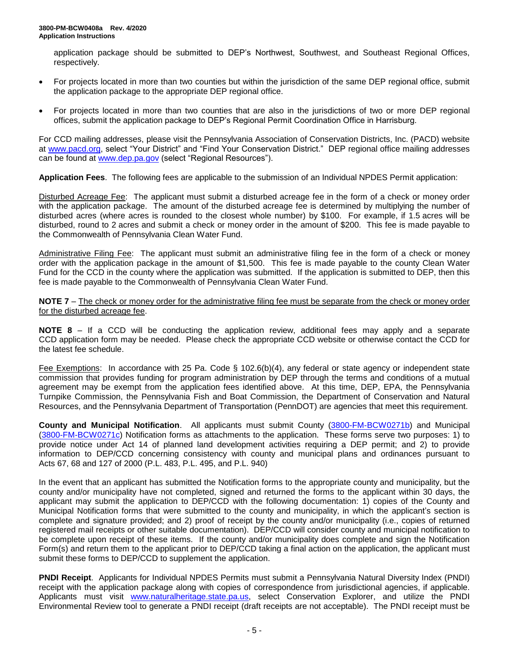application package should be submitted to DEP's Northwest, Southwest, and Southeast Regional Offices, respectively.

- For projects located in more than two counties but within the jurisdiction of the same DEP regional office, submit the application package to the appropriate DEP regional office.
- For projects located in more than two counties that are also in the jurisdictions of two or more DEP regional offices, submit the application package to DEP's Regional Permit Coordination Office in Harrisburg.

For CCD mailing addresses, please visit the Pennsylvania Association of Conservation Districts, Inc. (PACD) website at [www.pacd.org,](http://www.pacd.org/) select "Your District" and "Find Your Conservation District." DEP regional office mailing addresses can be found at [www.dep.pa.gov](http://www.dep.pa.gov/) (select "Regional Resources").

**Application Fees**. The following fees are applicable to the submission of an Individual NPDES Permit application:

Disturbed Acreage Fee: The applicant must submit a disturbed acreage fee in the form of a check or money order with the application package. The amount of the disturbed acreage fee is determined by multiplying the number of disturbed acres (where acres is rounded to the closest whole number) by \$100. For example, if 1.5 acres will be disturbed, round to 2 acres and submit a check or money order in the amount of \$200. This fee is made payable to the Commonwealth of Pennsylvania Clean Water Fund.

Administrative Filing Fee: The applicant must submit an administrative filing fee in the form of a check or money order with the application package in the amount of \$1,500. This fee is made payable to the county Clean Water Fund for the CCD in the county where the application was submitted. If the application is submitted to DEP, then this fee is made payable to the Commonwealth of Pennsylvania Clean Water Fund.

**NOTE 7** – The check or money order for the administrative filing fee must be separate from the check or money order for the disturbed acreage fee.

**NOTE 8** – If a CCD will be conducting the application review, additional fees may apply and a separate CCD application form may be needed. Please check the appropriate CCD website or otherwise contact the CCD for the latest fee schedule.

Fee Exemptions: In accordance with 25 Pa. Code § 102.6(b)(4), any federal or state agency or independent state commission that provides funding for program administration by DEP through the terms and conditions of a mutual agreement may be exempt from the application fees identified above. At this time, DEP, EPA, the Pennsylvania Turnpike Commission, the Pennsylvania Fish and Boat Commission, the Department of Conservation and Natural Resources, and the Pennsylvania Department of Transportation (PennDOT) are agencies that meet this requirement.

**County and Municipal Notification**. All applicants must submit County [\(3800-FM-BCW0271b\)](http://www.depgreenport.state.pa.us/elibrary/GetFolder?FolderID=2713) and Municipal [\(3800-FM-BCW0271c\)](http://www.depgreenport.state.pa.us/elibrary/GetFolder?FolderID=2713) Notification forms as attachments to the application. These forms serve two purposes: 1) to provide notice under Act 14 of planned land development activities requiring a DEP permit; and 2) to provide information to DEP/CCD concerning consistency with county and municipal plans and ordinances pursuant to Acts 67, 68 and 127 of 2000 (P.L. 483, P.L. 495, and P.L. 940)

In the event that an applicant has submitted the Notification forms to the appropriate county and municipality, but the county and/or municipality have not completed, signed and returned the forms to the applicant within 30 days, the applicant may submit the application to DEP/CCD with the following documentation: 1) copies of the County and Municipal Notification forms that were submitted to the county and municipality, in which the applicant's section is complete and signature provided; and 2) proof of receipt by the county and/or municipality (i.e., copies of returned registered mail receipts or other suitable documentation). DEP/CCD will consider county and municipal notification to be complete upon receipt of these items. If the county and/or municipality does complete and sign the Notification Form(s) and return them to the applicant prior to DEP/CCD taking a final action on the application, the applicant must submit these forms to DEP/CCD to supplement the application.

**PNDI Receipt**. Applicants for Individual NPDES Permits must submit a Pennsylvania Natural Diversity Index (PNDI) receipt with the application package along with copies of correspondence from jurisdictional agencies, if applicable. Applicants must visit [www.naturalheritage.state.pa.us,](http://www.naturalheritage.state.pa.us/) select Conservation Explorer, and utilize the PNDI Environmental Review tool to generate a PNDI receipt (draft receipts are not acceptable). The PNDI receipt must be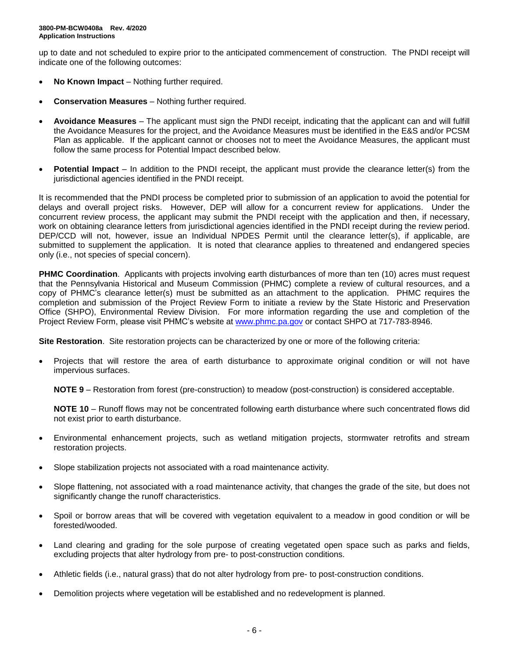up to date and not scheduled to expire prior to the anticipated commencement of construction. The PNDI receipt will indicate one of the following outcomes:

- **No Known Impact** Nothing further required.
- **Conservation Measures** Nothing further required.
- **Avoidance Measures** The applicant must sign the PNDI receipt, indicating that the applicant can and will fulfill the Avoidance Measures for the project, and the Avoidance Measures must be identified in the E&S and/or PCSM Plan as applicable. If the applicant cannot or chooses not to meet the Avoidance Measures, the applicant must follow the same process for Potential Impact described below.
- **Potential Impact** In addition to the PNDI receipt, the applicant must provide the clearance letter(s) from the jurisdictional agencies identified in the PNDI receipt.

It is recommended that the PNDI process be completed prior to submission of an application to avoid the potential for delays and overall project risks. However, DEP will allow for a concurrent review for applications. Under the concurrent review process, the applicant may submit the PNDI receipt with the application and then, if necessary, work on obtaining clearance letters from jurisdictional agencies identified in the PNDI receipt during the review period. DEP/CCD will not, however, issue an Individual NPDES Permit until the clearance letter(s), if applicable, are submitted to supplement the application. It is noted that clearance applies to threatened and endangered species only (i.e., not species of special concern).

**PHMC Coordination**. Applicants with projects involving earth disturbances of more than ten (10) acres must request that the Pennsylvania Historical and Museum Commission (PHMC) complete a review of cultural resources, and a copy of PHMC's clearance letter(s) must be submitted as an attachment to the application. PHMC requires the completion and submission of the Project Review Form to initiate a review by the State Historic and Preservation Office (SHPO), Environmental Review Division. For more information regarding the use and completion of the Project Review Form, please visit PHMC's website at [www.phmc.pa.gov](http://www.phmc.pa.gov/) or contact SHPO at 717-783-8946.

**Site Restoration**. Site restoration projects can be characterized by one or more of the following criteria:

• Projects that will restore the area of earth disturbance to approximate original condition or will not have impervious surfaces.

**NOTE 9** – Restoration from forest (pre-construction) to meadow (post-construction) is considered acceptable.

**NOTE 10** – Runoff flows may not be concentrated following earth disturbance where such concentrated flows did not exist prior to earth disturbance.

- Environmental enhancement projects, such as wetland mitigation projects, stormwater retrofits and stream restoration projects.
- Slope stabilization projects not associated with a road maintenance activity.
- Slope flattening, not associated with a road maintenance activity, that changes the grade of the site, but does not significantly change the runoff characteristics.
- Spoil or borrow areas that will be covered with vegetation equivalent to a meadow in good condition or will be forested/wooded.
- Land clearing and grading for the sole purpose of creating vegetated open space such as parks and fields, excluding projects that alter hydrology from pre- to post-construction conditions.
- Athletic fields (i.e., natural grass) that do not alter hydrology from pre- to post-construction conditions.
- Demolition projects where vegetation will be established and no redevelopment is planned.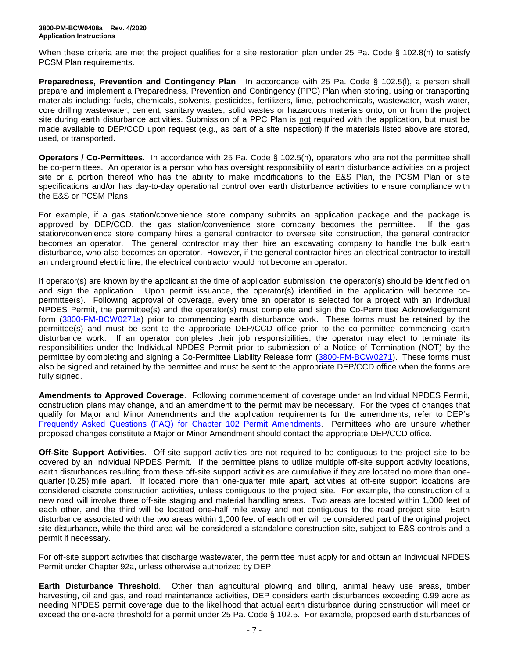When these criteria are met the project qualifies for a site restoration plan under 25 Pa. Code § 102.8(n) to satisfy PCSM Plan requirements.

**Preparedness, Prevention and Contingency Plan**. In accordance with 25 Pa. Code § 102.5(l), a person shall prepare and implement a Preparedness, Prevention and Contingency (PPC) Plan when storing, using or transporting materials including: fuels, chemicals, solvents, pesticides, fertilizers, lime, petrochemicals, wastewater, wash water, core drilling wastewater, cement, sanitary wastes, solid wastes or hazardous materials onto, on or from the project site during earth disturbance activities. Submission of a PPC Plan is not required with the application, but must be made available to DEP/CCD upon request (e.g., as part of a site inspection) if the materials listed above are stored, used, or transported.

**Operators / Co-Permittees**. In accordance with 25 Pa. Code § 102.5(h), operators who are not the permittee shall be co-permittees. An operator is a person who has oversight responsibility of earth disturbance activities on a project site or a portion thereof who has the ability to make modifications to the E&S Plan, the PCSM Plan or site specifications and/or has day-to-day operational control over earth disturbance activities to ensure compliance with the E&S or PCSM Plans.

For example, if a gas station/convenience store company submits an application package and the package is approved by DEP/CCD, the gas station/convenience store company becomes the permittee. If the gas station/convenience store company hires a general contractor to oversee site construction, the general contractor becomes an operator. The general contractor may then hire an excavating company to handle the bulk earth disturbance, who also becomes an operator. However, if the general contractor hires an electrical contractor to install an underground electric line, the electrical contractor would not become an operator.

If operator(s) are known by the applicant at the time of application submission, the operator(s) should be identified on and sign the application. Upon permit issuance, the operator(s) identified in the application will become copermittee(s). Following approval of coverage, every time an operator is selected for a project with an Individual NPDES Permit, the permittee(s) and the operator(s) must complete and sign the Co-Permittee Acknowledgement form [\(3800-FM-BCW0271a\)](http://www.depgreenport.state.pa.us/elibrary/GetFolder?FolderID=2713) prior to commencing earth disturbance work. These forms must be retained by the permittee(s) and must be sent to the appropriate DEP/CCD office prior to the co-permittee commencing earth disturbance work. If an operator completes their job responsibilities, the operator may elect to terminate its responsibilities under the Individual NPDES Permit prior to submission of a Notice of Termination (NOT) by the permittee by completing and signing a Co-Permittee Liability Release form [\(3800-FM-BCW0271\)](http://www.depgreenport.state.pa.us/elibrary/GetFolder?FolderID=2713). These forms must also be signed and retained by the permittee and must be sent to the appropriate DEP/CCD office when the forms are fully signed.

**Amendments to Approved Coverage**. Following commencement of coverage under an Individual NPDES Permit, construction plans may change, and an amendment to the permit may be necessary. For the types of changes that qualify for Major and Minor Amendments and the application requirements for the amendments, refer to DEP's [Frequently Asked Questions \(FAQ\) for](http://files.dep.state.pa.us/Water/BPNPSM/StormwaterManagement/ConstructionStormwater/Chapter_102_Permit_Amendments_FAQ.pdf) Chapter 102 Permit Amendments. Permittees who are unsure whether proposed changes constitute a Major or Minor Amendment should contact the appropriate DEP/CCD office.

**Off-Site Support Activities**. Off-site support activities are not required to be contiguous to the project site to be covered by an Individual NPDES Permit. If the permittee plans to utilize multiple off-site support activity locations, earth disturbances resulting from these off-site support activities are cumulative if they are located no more than onequarter (0.25) mile apart. If located more than one-quarter mile apart, activities at off-site support locations are considered discrete construction activities, unless contiguous to the project site. For example, the construction of a new road will involve three off-site staging and material handling areas. Two areas are located within 1,000 feet of each other, and the third will be located one-half mile away and not contiguous to the road project site. Earth disturbance associated with the two areas within 1,000 feet of each other will be considered part of the original project site disturbance, while the third area will be considered a standalone construction site, subject to E&S controls and a permit if necessary.

For off-site support activities that discharge wastewater, the permittee must apply for and obtain an Individual NPDES Permit under Chapter 92a, unless otherwise authorized by DEP.

**Earth Disturbance Threshold**. Other than agricultural plowing and tilling, animal heavy use areas, timber harvesting, oil and gas, and road maintenance activities, DEP considers earth disturbances exceeding 0.99 acre as needing NPDES permit coverage due to the likelihood that actual earth disturbance during construction will meet or exceed the one-acre threshold for a permit under 25 Pa. Code § 102.5. For example, proposed earth disturbances of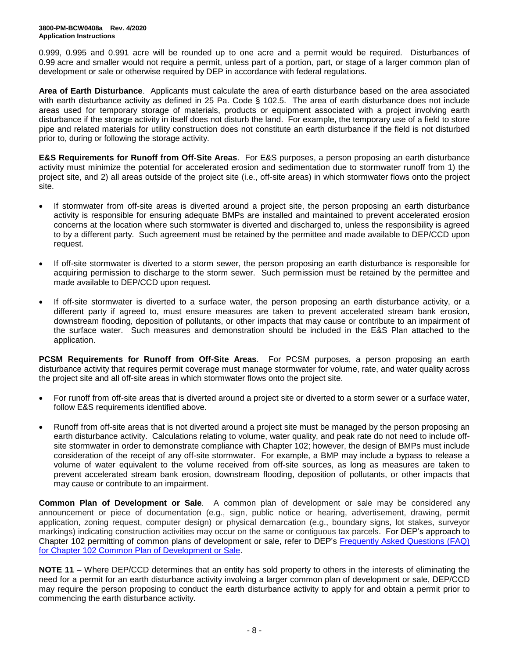0.999, 0.995 and 0.991 acre will be rounded up to one acre and a permit would be required. Disturbances of 0.99 acre and smaller would not require a permit, unless part of a portion, part, or stage of a larger common plan of development or sale or otherwise required by DEP in accordance with federal regulations.

**Area of Earth Disturbance**. Applicants must calculate the area of earth disturbance based on the area associated with earth disturbance activity as defined in 25 Pa. Code § 102.5. The area of earth disturbance does not include areas used for temporary storage of materials, products or equipment associated with a project involving earth disturbance if the storage activity in itself does not disturb the land. For example, the temporary use of a field to store pipe and related materials for utility construction does not constitute an earth disturbance if the field is not disturbed prior to, during or following the storage activity.

**E&S Requirements for Runoff from Off-Site Areas**. For E&S purposes, a person proposing an earth disturbance activity must minimize the potential for accelerated erosion and sedimentation due to stormwater runoff from 1) the project site, and 2) all areas outside of the project site (i.e., off-site areas) in which stormwater flows onto the project site.

- If stormwater from off-site areas is diverted around a project site, the person proposing an earth disturbance activity is responsible for ensuring adequate BMPs are installed and maintained to prevent accelerated erosion concerns at the location where such stormwater is diverted and discharged to, unless the responsibility is agreed to by a different party. Such agreement must be retained by the permittee and made available to DEP/CCD upon request.
- If off-site stormwater is diverted to a storm sewer, the person proposing an earth disturbance is responsible for acquiring permission to discharge to the storm sewer. Such permission must be retained by the permittee and made available to DEP/CCD upon request.
- If off-site stormwater is diverted to a surface water, the person proposing an earth disturbance activity, or a different party if agreed to, must ensure measures are taken to prevent accelerated stream bank erosion, downstream flooding, deposition of pollutants, or other impacts that may cause or contribute to an impairment of the surface water. Such measures and demonstration should be included in the E&S Plan attached to the application.

**PCSM Requirements for Runoff from Off-Site Areas**. For PCSM purposes, a person proposing an earth disturbance activity that requires permit coverage must manage stormwater for volume, rate, and water quality across the project site and all off-site areas in which stormwater flows onto the project site.

- For runoff from off-site areas that is diverted around a project site or diverted to a storm sewer or a surface water, follow E&S requirements identified above.
- Runoff from off-site areas that is not diverted around a project site must be managed by the person proposing an earth disturbance activity. Calculations relating to volume, water quality, and peak rate do not need to include offsite stormwater in order to demonstrate compliance with Chapter 102; however, the design of BMPs must include consideration of the receipt of any off-site stormwater. For example, a BMP may include a bypass to release a volume of water equivalent to the volume received from off-site sources, as long as measures are taken to prevent accelerated stream bank erosion, downstream flooding, deposition of pollutants, or other impacts that may cause or contribute to an impairment.

**Common Plan of Development or Sale**. A common plan of development or sale may be considered any announcement or piece of documentation (e.g., sign, public notice or hearing, advertisement, drawing, permit application, zoning request, computer design) or physical demarcation (e.g., boundary signs, lot stakes, surveyor markings) indicating construction activities may occur on the same or contiguous tax parcels. For DEP's approach to Chapter 102 permitting of common plans of development or sale, refer to DEP's [Frequently Asked Questions \(FAQ\)](http://files.dep.state.pa.us/Water/BPNPSM/StormwaterManagement/ConstructionStormwater/Common_Plan_FAQ.pdf)  [for Chapter 102 Common Plan of Development or Sale.](http://files.dep.state.pa.us/Water/BPNPSM/StormwaterManagement/ConstructionStormwater/Common_Plan_FAQ.pdf)

**NOTE 11** – Where DEP/CCD determines that an entity has sold property to others in the interests of eliminating the need for a permit for an earth disturbance activity involving a larger common plan of development or sale, DEP/CCD may require the person proposing to conduct the earth disturbance activity to apply for and obtain a permit prior to commencing the earth disturbance activity.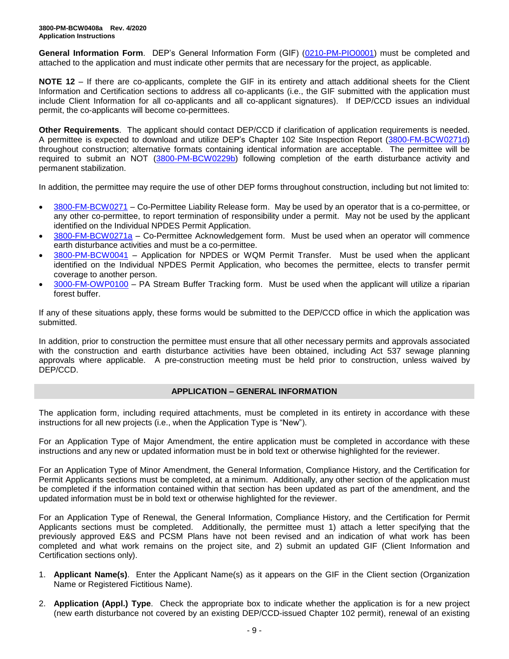**General Information Form**. DEP's General Information Form (GIF) [\(0210-PM-PIO0001\)](http://www.depgreenport.state.pa.us/elibrary/GetFolder?FolderID=4743) must be completed and attached to the application and must indicate other permits that are necessary for the project, as applicable.

**NOTE 12** – If there are co-applicants, complete the GIF in its entirety and attach additional sheets for the Client Information and Certification sections to address all co-applicants (i.e., the GIF submitted with the application must include Client Information for all co-applicants and all co-applicant signatures). If DEP/CCD issues an individual permit, the co-applicants will become co-permittees.

**Other Requirements**. The applicant should contact DEP/CCD if clarification of application requirements is needed. A permittee is expected to download and utilize DEP's Chapter 102 Site Inspection Report [\(3800-FM-BCW0271d\)](http://www.depgreenport.state.pa.us/elibrary/GetFolder?FolderID=2713) throughout construction; alternative formats containing identical information are acceptable. The permittee will be required to submit an NOT [\(3800-PM-BCW0229b\)](http://www.depgreenport.state.pa.us/elibrary/GetFolder?FolderID=3668) following completion of the earth disturbance activity and permanent stabilization.

In addition, the permittee may require the use of other DEP forms throughout construction, including but not limited to:

- [3800-FM-BCW0271](http://www.depgreenport.state.pa.us/elibrary/GetFolder?FolderID=2713) Co-Permittee Liability Release form. May be used by an operator that is a co-permittee, or any other co-permittee, to report termination of responsibility under a permit. May not be used by the applicant identified on the Individual NPDES Permit Application.
- [3800-FM-BCW0271a](http://www.depgreenport.state.pa.us/elibrary/GetFolder?FolderID=2713) Co-Permittee Acknowledgement form. Must be used when an operator will commence earth disturbance activities and must be a co-permittee.
- [3800-PM-BCW0041](http://www.depgreenport.state.pa.us/elibrary/GetFolder?FolderID=3665) Application for NPDES or WQM Permit Transfer. Must be used when the applicant identified on the Individual NPDES Permit Application, who becomes the permittee, elects to transfer permit coverage to another person.
- [3000-FM-OWP0100](http://www.depgreenport.state.pa.us/elibrary/GetDocument?docId=1445675&DocName=PA%20STREAM%20BUFFER%20TRACKING%20FORM.PDF%20%20%3Cspan%20style%3D%22color%3Agreen%3B%22%3E%3C%2Fspan%3E%20%3Cspan%20style%3D%22color%3Ablue%3B%22%3E%3C%2Fspan%3E) PA Stream Buffer Tracking form. Must be used when the applicant will utilize a riparian forest buffer.

If any of these situations apply, these forms would be submitted to the DEP/CCD office in which the application was submitted.

In addition, prior to construction the permittee must ensure that all other necessary permits and approvals associated with the construction and earth disturbance activities have been obtained, including Act 537 sewage planning approvals where applicable. A pre-construction meeting must be held prior to construction, unless waived by DEP/CCD.

#### **APPLICATION – GENERAL INFORMATION**

The application form, including required attachments, must be completed in its entirety in accordance with these instructions for all new projects (i.e., when the Application Type is "New").

For an Application Type of Major Amendment, the entire application must be completed in accordance with these instructions and any new or updated information must be in bold text or otherwise highlighted for the reviewer.

For an Application Type of Minor Amendment, the General Information, Compliance History, and the Certification for Permit Applicants sections must be completed, at a minimum. Additionally, any other section of the application must be completed if the information contained within that section has been updated as part of the amendment, and the updated information must be in bold text or otherwise highlighted for the reviewer.

For an Application Type of Renewal, the General Information, Compliance History, and the Certification for Permit Applicants sections must be completed. Additionally, the permittee must 1) attach a letter specifying that the previously approved E&S and PCSM Plans have not been revised and an indication of what work has been completed and what work remains on the project site, and 2) submit an updated GIF (Client Information and Certification sections only).

- 1. **Applicant Name(s)**. Enter the Applicant Name(s) as it appears on the GIF in the Client section (Organization Name or Registered Fictitious Name).
- 2. **Application (Appl.) Type**. Check the appropriate box to indicate whether the application is for a new project (new earth disturbance not covered by an existing DEP/CCD-issued Chapter 102 permit), renewal of an existing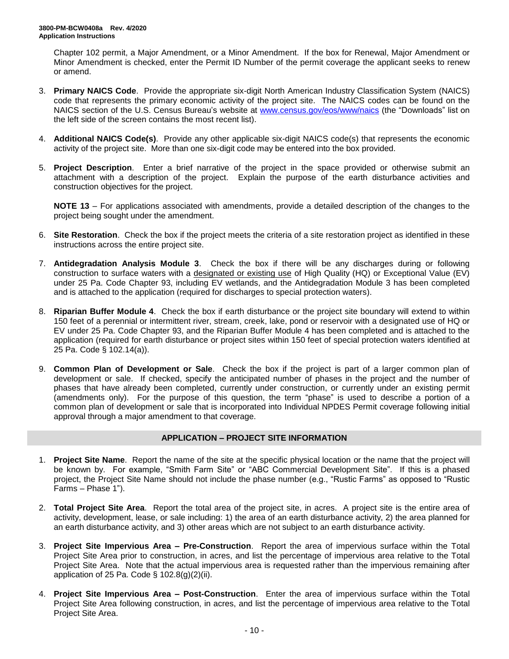Chapter 102 permit, a Major Amendment, or a Minor Amendment. If the box for Renewal, Major Amendment or Minor Amendment is checked, enter the Permit ID Number of the permit coverage the applicant seeks to renew or amend.

- 3. **Primary NAICS Code**. Provide the appropriate six-digit North American Industry Classification System (NAICS) code that represents the primary economic activity of the project site. The NAICS codes can be found on the NAICS section of the U.S. Census Bureau's website at [www.census.gov/eos/www/naics](http://www.census.gov/eos/www/naics) (the "Downloads" list on the left side of the screen contains the most recent list).
- 4. **Additional NAICS Code(s)**. Provide any other applicable six-digit NAICS code(s) that represents the economic activity of the project site. More than one six-digit code may be entered into the box provided.
- 5. **Project Description**. Enter a brief narrative of the project in the space provided or otherwise submit an attachment with a description of the project. Explain the purpose of the earth disturbance activities and construction objectives for the project.

**NOTE 13** – For applications associated with amendments, provide a detailed description of the changes to the project being sought under the amendment.

- 6. **Site Restoration**. Check the box if the project meets the criteria of a site restoration project as identified in these instructions across the entire project site.
- 7. **Antidegradation Analysis Module 3**. Check the box if there will be any discharges during or following construction to surface waters with a designated or existing use of High Quality (HQ) or Exceptional Value (EV) under 25 Pa. Code Chapter 93, including EV wetlands, and the Antidegradation Module 3 has been completed and is attached to the application (required for discharges to special protection waters).
- 8. **Riparian Buffer Module 4**. Check the box if earth disturbance or the project site boundary will extend to within 150 feet of a perennial or intermittent river, stream, creek, lake, pond or reservoir with a designated use of HQ or EV under 25 Pa. Code Chapter 93, and the Riparian Buffer Module 4 has been completed and is attached to the application (required for earth disturbance or project sites within 150 feet of special protection waters identified at 25 Pa. Code § 102.14(a)).
- 9. **Common Plan of Development or Sale**. Check the box if the project is part of a larger common plan of development or sale. If checked, specify the anticipated number of phases in the project and the number of phases that have already been completed, currently under construction, or currently under an existing permit (amendments only). For the purpose of this question, the term "phase" is used to describe a portion of a common plan of development or sale that is incorporated into Individual NPDES Permit coverage following initial approval through a major amendment to that coverage.

# **APPLICATION – PROJECT SITE INFORMATION**

- 1. **Project Site Name**. Report the name of the site at the specific physical location or the name that the project will be known by. For example, "Smith Farm Site" or "ABC Commercial Development Site". If this is a phased project, the Project Site Name should not include the phase number (e.g., "Rustic Farms" as opposed to "Rustic Farms – Phase 1").
- 2. **Total Project Site Area**. Report the total area of the project site, in acres. A project site is the entire area of activity, development, lease, or sale including: 1) the area of an earth disturbance activity, 2) the area planned for an earth disturbance activity, and 3) other areas which are not subject to an earth disturbance activity.
- 3. **Project Site Impervious Area – Pre-Construction**. Report the area of impervious surface within the Total Project Site Area prior to construction, in acres, and list the percentage of impervious area relative to the Total Project Site Area. Note that the actual impervious area is requested rather than the impervious remaining after application of 25 Pa. Code  $\S$  102.8(g)(2)(ii).
- 4. **Project Site Impervious Area – Post-Construction**. Enter the area of impervious surface within the Total Project Site Area following construction, in acres, and list the percentage of impervious area relative to the Total Project Site Area.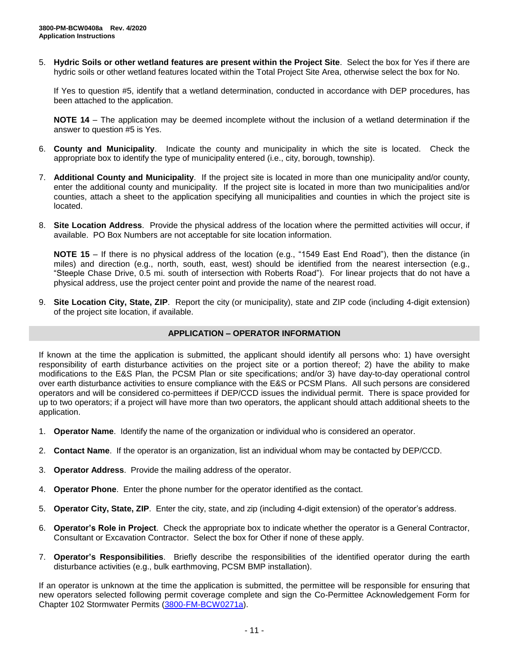5. **Hydric Soils or other wetland features are present within the Project Site**. Select the box for Yes if there are hydric soils or other wetland features located within the Total Project Site Area, otherwise select the box for No.

If Yes to question #5, identify that a wetland determination, conducted in accordance with DEP procedures, has been attached to the application.

**NOTE 14** – The application may be deemed incomplete without the inclusion of a wetland determination if the answer to question #5 is Yes.

- 6. **County and Municipality**. Indicate the county and municipality in which the site is located. Check the appropriate box to identify the type of municipality entered (i.e., city, borough, township).
- 7. **Additional County and Municipality**. If the project site is located in more than one municipality and/or county, enter the additional county and municipality. If the project site is located in more than two municipalities and/or counties, attach a sheet to the application specifying all municipalities and counties in which the project site is located.
- 8. **Site Location Address**. Provide the physical address of the location where the permitted activities will occur, if available. PO Box Numbers are not acceptable for site location information.

**NOTE 15** – If there is no physical address of the location (e.g., "1549 East End Road"), then the distance (in miles) and direction (e.g., north, south, east, west) should be identified from the nearest intersection (e.g., "Steeple Chase Drive, 0.5 mi. south of intersection with Roberts Road"). For linear projects that do not have a physical address, use the project center point and provide the name of the nearest road.

9. **Site Location City, State, ZIP**. Report the city (or municipality), state and ZIP code (including 4-digit extension) of the project site location, if available.

#### **APPLICATION – OPERATOR INFORMATION**

If known at the time the application is submitted, the applicant should identify all persons who: 1) have oversight responsibility of earth disturbance activities on the project site or a portion thereof; 2) have the ability to make modifications to the E&S Plan, the PCSM Plan or site specifications; and/or 3) have day-to-day operational control over earth disturbance activities to ensure compliance with the E&S or PCSM Plans. All such persons are considered operators and will be considered co-permittees if DEP/CCD issues the individual permit. There is space provided for up to two operators; if a project will have more than two operators, the applicant should attach additional sheets to the application.

- 1. **Operator Name**. Identify the name of the organization or individual who is considered an operator.
- 2. **Contact Name**. If the operator is an organization, list an individual whom may be contacted by DEP/CCD.
- 3. **Operator Address**. Provide the mailing address of the operator.
- 4. **Operator Phone**. Enter the phone number for the operator identified as the contact.
- 5. **Operator City, State, ZIP**. Enter the city, state, and zip (including 4-digit extension) of the operator's address.
- 6. **Operator's Role in Project**. Check the appropriate box to indicate whether the operator is a General Contractor, Consultant or Excavation Contractor. Select the box for Other if none of these apply.
- 7. **Operator's Responsibilities**. Briefly describe the responsibilities of the identified operator during the earth disturbance activities (e.g., bulk earthmoving, PCSM BMP installation).

If an operator is unknown at the time the application is submitted, the permittee will be responsible for ensuring that new operators selected following permit coverage complete and sign the Co-Permittee Acknowledgement Form for Chapter 102 Stormwater Permits [\(3800-FM-BCW0271a\)](http://www.depgreenport.state.pa.us/elibrary/GetFolder?FolderID=2713).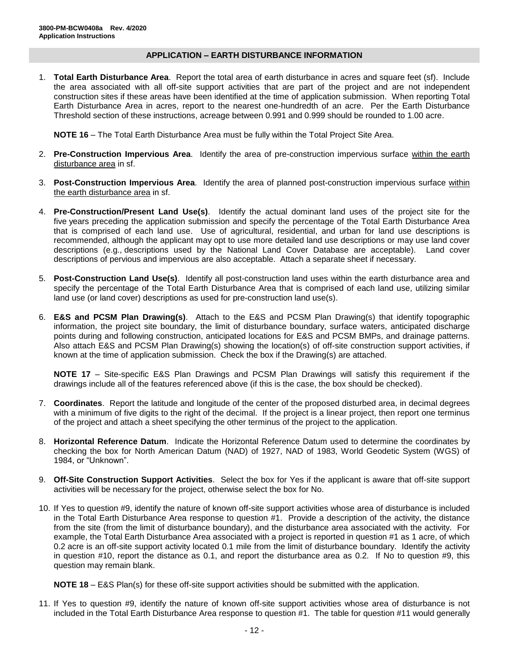### **APPLICATION – EARTH DISTURBANCE INFORMATION**

1. **Total Earth Disturbance Area**. Report the total area of earth disturbance in acres and square feet (sf). Include the area associated with all off-site support activities that are part of the project and are not independent construction sites if these areas have been identified at the time of application submission. When reporting Total Earth Disturbance Area in acres, report to the nearest one-hundredth of an acre. Per the Earth Disturbance Threshold section of these instructions, acreage between 0.991 and 0.999 should be rounded to 1.00 acre.

**NOTE 16** – The Total Earth Disturbance Area must be fully within the Total Project Site Area.

- 2. **Pre-Construction Impervious Area**. Identify the area of pre-construction impervious surface within the earth disturbance area in sf.
- 3. **Post-Construction Impervious Area**. Identify the area of planned post-construction impervious surface within the earth disturbance area in sf.
- 4. **Pre-Construction/Present Land Use(s)**. Identify the actual dominant land uses of the project site for the five years preceding the application submission and specify the percentage of the Total Earth Disturbance Area that is comprised of each land use. Use of agricultural, residential, and urban for land use descriptions is recommended, although the applicant may opt to use more detailed land use descriptions or may use land cover descriptions (e.g., descriptions used by the National Land Cover Database are acceptable). Land cover descriptions of pervious and impervious are also acceptable. Attach a separate sheet if necessary.
- 5. **Post-Construction Land Use(s)**. Identify all post-construction land uses within the earth disturbance area and specify the percentage of the Total Earth Disturbance Area that is comprised of each land use, utilizing similar land use (or land cover) descriptions as used for pre-construction land use(s).
- 6. **E&S and PCSM Plan Drawing(s)**. Attach to the E&S and PCSM Plan Drawing(s) that identify topographic information, the project site boundary, the limit of disturbance boundary, surface waters, anticipated discharge points during and following construction, anticipated locations for E&S and PCSM BMPs, and drainage patterns. Also attach E&S and PCSM Plan Drawing(s) showing the location(s) of off-site construction support activities, if known at the time of application submission. Check the box if the Drawing(s) are attached.

**NOTE 17** – Site-specific E&S Plan Drawings and PCSM Plan Drawings will satisfy this requirement if the drawings include all of the features referenced above (if this is the case, the box should be checked).

- 7. **Coordinates**. Report the latitude and longitude of the center of the proposed disturbed area, in decimal degrees with a minimum of five digits to the right of the decimal. If the project is a linear project, then report one terminus of the project and attach a sheet specifying the other terminus of the project to the application.
- 8. **Horizontal Reference Datum**. Indicate the Horizontal Reference Datum used to determine the coordinates by checking the box for North American Datum (NAD) of 1927, NAD of 1983, World Geodetic System (WGS) of 1984, or "Unknown".
- 9. **Off-Site Construction Support Activities**. Select the box for Yes if the applicant is aware that off-site support activities will be necessary for the project, otherwise select the box for No.
- 10. If Yes to question #9, identify the nature of known off-site support activities whose area of disturbance is included in the Total Earth Disturbance Area response to question #1. Provide a description of the activity, the distance from the site (from the limit of disturbance boundary), and the disturbance area associated with the activity. For example, the Total Earth Disturbance Area associated with a project is reported in question #1 as 1 acre, of which 0.2 acre is an off-site support activity located 0.1 mile from the limit of disturbance boundary. Identify the activity in question #10, report the distance as 0.1, and report the disturbance area as 0.2. If No to question #9, this question may remain blank.

**NOTE 18** – E&S Plan(s) for these off-site support activities should be submitted with the application.

11. If Yes to question #9, identify the nature of known off-site support activities whose area of disturbance is not included in the Total Earth Disturbance Area response to question #1. The table for question #11 would generally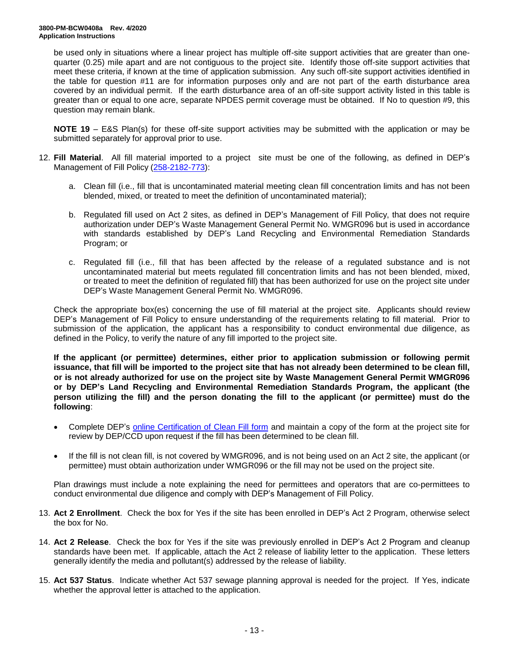be used only in situations where a linear project has multiple off-site support activities that are greater than onequarter (0.25) mile apart and are not contiguous to the project site. Identify those off-site support activities that meet these criteria, if known at the time of application submission. Any such off-site support activities identified in the table for question #11 are for information purposes only and are not part of the earth disturbance area covered by an individual permit. If the earth disturbance area of an off-site support activity listed in this table is greater than or equal to one acre, separate NPDES permit coverage must be obtained. If No to question #9, this question may remain blank.

**NOTE 19** – E&S Plan(s) for these off-site support activities may be submitted with the application or may be submitted separately for approval prior to use.

- 12. **Fill Material**. All fill material imported to a project site must be one of the following, as defined in DEP's Management of Fill Policy [\(258-2182-773\)](http://www.depgreenport.state.pa.us/elibrary/GetFolder?FolderID=4647):
	- a. Clean fill (i.e., fill that is uncontaminated material meeting clean fill concentration limits and has not been blended, mixed, or treated to meet the definition of uncontaminated material);
	- b. Regulated fill used on Act 2 sites, as defined in DEP's Management of Fill Policy, that does not require authorization under DEP's Waste Management General Permit No. WMGR096 but is used in accordance with standards established by DEP's Land Recycling and Environmental Remediation Standards Program; or
	- c. Regulated fill (i.e., fill that has been affected by the release of a regulated substance and is not uncontaminated material but meets regulated fill concentration limits and has not been blended, mixed, or treated to meet the definition of regulated fill) that has been authorized for use on the project site under DEP's Waste Management General Permit No. WMGR096.

Check the appropriate box(es) concerning the use of fill material at the project site. Applicants should review DEP's Management of Fill Policy to ensure understanding of the requirements relating to fill material. Prior to submission of the application, the applicant has a responsibility to conduct environmental due diligence, as defined in the Policy, to verify the nature of any fill imported to the project site.

**If the applicant (or permittee) determines, either prior to application submission or following permit issuance, that fill will be imported to the project site that has not already been determined to be clean fill, or is not already authorized for use on the project site by Waste Management General Permit WMGR096 or by DEP's Land Recycling and Environmental Remediation Standards Program, the applicant (the person utilizing the fill) and the person donating the fill to the applicant (or permittee) must do the following**:

- Complete DEP's [online Certification of Clean Fill form](http://www.depgreenport.state.pa.us/CleanFill) and maintain a copy of the form at the project site for review by DEP/CCD upon request if the fill has been determined to be clean fill.
- If the fill is not clean fill, is not covered by WMGR096, and is not being used on an Act 2 site, the applicant (or permittee) must obtain authorization under WMGR096 or the fill may not be used on the project site.

Plan drawings must include a note explaining the need for permittees and operators that are co-permittees to conduct environmental due diligence and comply with DEP's Management of Fill Policy.

- 13. **Act 2 Enrollment**. Check the box for Yes if the site has been enrolled in DEP's Act 2 Program, otherwise select the box for No.
- 14. **Act 2 Release**. Check the box for Yes if the site was previously enrolled in DEP's Act 2 Program and cleanup standards have been met. If applicable, attach the Act 2 release of liability letter to the application. These letters generally identify the media and pollutant(s) addressed by the release of liability.
- 15. **Act 537 Status**. Indicate whether Act 537 sewage planning approval is needed for the project. If Yes, indicate whether the approval letter is attached to the application.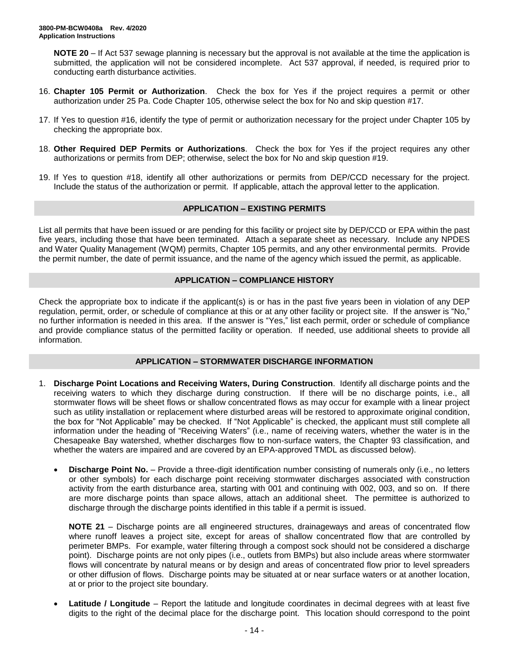**NOTE 20** – If Act 537 sewage planning is necessary but the approval is not available at the time the application is submitted, the application will not be considered incomplete. Act 537 approval, if needed, is required prior to conducting earth disturbance activities.

- 16. **Chapter 105 Permit or Authorization**. Check the box for Yes if the project requires a permit or other authorization under 25 Pa. Code Chapter 105, otherwise select the box for No and skip question #17.
- 17. If Yes to question #16, identify the type of permit or authorization necessary for the project under Chapter 105 by checking the appropriate box.
- 18. **Other Required DEP Permits or Authorizations**. Check the box for Yes if the project requires any other authorizations or permits from DEP; otherwise, select the box for No and skip question #19.
- 19. If Yes to question #18, identify all other authorizations or permits from DEP/CCD necessary for the project. Include the status of the authorization or permit. If applicable, attach the approval letter to the application.

#### **APPLICATION – EXISTING PERMITS**

List all permits that have been issued or are pending for this facility or project site by DEP/CCD or EPA within the past five years, including those that have been terminated. Attach a separate sheet as necessary. Include any NPDES and Water Quality Management (WQM) permits, Chapter 105 permits, and any other environmental permits. Provide the permit number, the date of permit issuance, and the name of the agency which issued the permit, as applicable.

#### **APPLICATION – COMPLIANCE HISTORY**

Check the appropriate box to indicate if the applicant(s) is or has in the past five years been in violation of any DEP regulation, permit, order, or schedule of compliance at this or at any other facility or project site. If the answer is "No," no further information is needed in this area. If the answer is "Yes," list each permit, order or schedule of compliance and provide compliance status of the permitted facility or operation. If needed, use additional sheets to provide all information.

# **APPLICATION – STORMWATER DISCHARGE INFORMATION**

- 1. **Discharge Point Locations and Receiving Waters, During Construction**. Identify all discharge points and the receiving waters to which they discharge during construction. If there will be no discharge points, i.e., all stormwater flows will be sheet flows or shallow concentrated flows as may occur for example with a linear project such as utility installation or replacement where disturbed areas will be restored to approximate original condition, the box for "Not Applicable" may be checked. If "Not Applicable" is checked, the applicant must still complete all information under the heading of "Receiving Waters" (i.e., name of receiving waters, whether the water is in the Chesapeake Bay watershed, whether discharges flow to non-surface waters, the Chapter 93 classification, and whether the waters are impaired and are covered by an EPA-approved TMDL as discussed below).
	- **Discharge Point No.** Provide a three-digit identification number consisting of numerals only (i.e., no letters or other symbols) for each discharge point receiving stormwater discharges associated with construction activity from the earth disturbance area, starting with 001 and continuing with 002, 003, and so on. If there are more discharge points than space allows, attach an additional sheet. The permittee is authorized to discharge through the discharge points identified in this table if a permit is issued.

**NOTE 21** – Discharge points are all engineered structures, drainageways and areas of concentrated flow where runoff leaves a project site, except for areas of shallow concentrated flow that are controlled by perimeter BMPs. For example, water filtering through a compost sock should not be considered a discharge point). Discharge points are not only pipes (i.e., outlets from BMPs) but also include areas where stormwater flows will concentrate by natural means or by design and areas of concentrated flow prior to level spreaders or other diffusion of flows. Discharge points may be situated at or near surface waters or at another location, at or prior to the project site boundary.

**Latitude / Longitude** – Report the latitude and longitude coordinates in decimal degrees with at least five digits to the right of the decimal place for the discharge point. This location should correspond to the point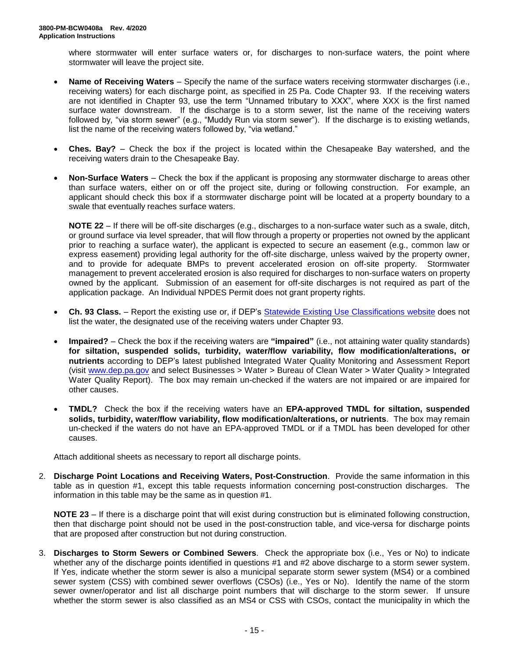where stormwater will enter surface waters or, for discharges to non-surface waters, the point where stormwater will leave the project site.

- **Name of Receiving Waters**  Specify the name of the surface waters receiving stormwater discharges (i.e., receiving waters) for each discharge point, as specified in 25 Pa. Code Chapter 93. If the receiving waters are not identified in Chapter 93, use the term "Unnamed tributary to XXX", where XXX is the first named surface water downstream. If the discharge is to a storm sewer, list the name of the receiving waters followed by, "via storm sewer" (e.g., "Muddy Run via storm sewer"). If the discharge is to existing wetlands, list the name of the receiving waters followed by, "via wetland."
- **Ches. Bay?** Check the box if the project is located within the Chesapeake Bay watershed, and the receiving waters drain to the Chesapeake Bay.
- **Non-Surface Waters** Check the box if the applicant is proposing any stormwater discharge to areas other than surface waters, either on or off the project site, during or following construction. For example, an applicant should check this box if a stormwater discharge point will be located at a property boundary to a swale that eventually reaches surface waters.

**NOTE 22** – If there will be off-site discharges (e.g., discharges to a non-surface water such as a swale, ditch, or ground surface via level spreader, that will flow through a property or properties not owned by the applicant prior to reaching a surface water), the applicant is expected to secure an easement (e.g., common law or express easement) providing legal authority for the off-site discharge, unless waived by the property owner, and to provide for adequate BMPs to prevent accelerated erosion on off-site property. Stormwater management to prevent accelerated erosion is also required for discharges to non-surface waters on property owned by the applicant. Submission of an easement for off-site discharges is not required as part of the application package. An Individual NPDES Permit does not grant property rights.

- **Ch. 93 Class.** Report the existing use or, if DEP's [Statewide Existing Use](https://www.dep.pa.gov/Business/Water/CleanWater/WaterQuality/StreamRedesignations/Pages/Statewide-Existing-Use-Classifications.aspx) Classifications website does not list the water, the designated use of the receiving waters under Chapter 93.
- **Impaired?** Check the box if the receiving waters are **"impaired"** (i.e., not attaining water quality standards) **for siltation, suspended solids, turbidity, water/flow variability, flow modification/alterations, or nutrients** according to DEP's latest published Integrated Water Quality Monitoring and Assessment Report (visit [www.dep.pa.gov](http://www.dep.pa.gov/) and select Businesses > Water > Bureau of Clean Water > Water Quality > Integrated Water Quality Report). The box may remain un-checked if the waters are not impaired or are impaired for other causes.
- **TMDL?** Check the box if the receiving waters have an **EPA-approved TMDL for siltation, suspended solids, turbidity, water/flow variability, flow modification/alterations, or nutrients**. The box may remain un-checked if the waters do not have an EPA-approved TMDL or if a TMDL has been developed for other causes.

Attach additional sheets as necessary to report all discharge points.

2. **Discharge Point Locations and Receiving Waters, Post-Construction**. Provide the same information in this table as in question #1, except this table requests information concerning post-construction discharges. The information in this table may be the same as in question #1.

**NOTE 23** – If there is a discharge point that will exist during construction but is eliminated following construction, then that discharge point should not be used in the post-construction table, and vice-versa for discharge points that are proposed after construction but not during construction.

3. **Discharges to Storm Sewers or Combined Sewers**. Check the appropriate box (i.e., Yes or No) to indicate whether any of the discharge points identified in questions #1 and #2 above discharge to a storm sewer system. If Yes, indicate whether the storm sewer is also a municipal separate storm sewer system (MS4) or a combined sewer system (CSS) with combined sewer overflows (CSOs) (i.e., Yes or No). Identify the name of the storm sewer owner/operator and list all discharge point numbers that will discharge to the storm sewer. If unsure whether the storm sewer is also classified as an MS4 or CSS with CSOs, contact the municipality in which the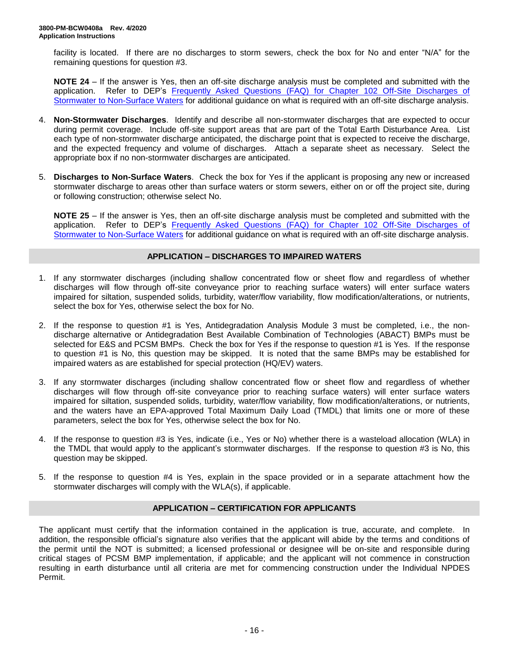facility is located. If there are no discharges to storm sewers, check the box for No and enter "N/A" for the remaining questions for question #3.

**NOTE 24** – If the answer is Yes, then an off-site discharge analysis must be completed and submitted with the application. Refer to DEP's [Frequently Asked Questions \(FAQ\) for Chapter 102 Off-Site Discharges of](http://files.dep.state.pa.us/Water/BPNPSM/StormwaterManagement/ConstructionStormwater/Off-Site_Discharges_FAQ.pdf) [Stormwater to Non-Surface Waters](http://files.dep.state.pa.us/Water/BPNPSM/StormwaterManagement/ConstructionStormwater/Off-Site_Discharges_FAQ.pdf) for additional guidance on what is required with an off-site discharge analysis.

- 4. **Non-Stormwater Discharges**. Identify and describe all non-stormwater discharges that are expected to occur during permit coverage. Include off-site support areas that are part of the Total Earth Disturbance Area. List each type of non-stormwater discharge anticipated, the discharge point that is expected to receive the discharge, and the expected frequency and volume of discharges. Attach a separate sheet as necessary. Select the appropriate box if no non-stormwater discharges are anticipated.
- 5. **Discharges to Non-Surface Waters**. Check the box for Yes if the applicant is proposing any new or increased stormwater discharge to areas other than surface waters or storm sewers, either on or off the project site, during or following construction; otherwise select No.

**NOTE 25** – If the answer is Yes, then an off-site discharge analysis must be completed and submitted with the application. Refer to DEP's [Frequently Asked Questions \(FAQ\) for Chapter 102 Off-Site Discharges of](http://files.dep.state.pa.us/Water/BPNPSM/StormwaterManagement/ConstructionStormwater/Off-Site_Discharges_FAQ.pdf)  [Stormwater to Non-Surface Waters](http://files.dep.state.pa.us/Water/BPNPSM/StormwaterManagement/ConstructionStormwater/Off-Site_Discharges_FAQ.pdf) for additional guidance on what is required with an off-site discharge analysis.

# **APPLICATION – DISCHARGES TO IMPAIRED WATERS**

- 1. If any stormwater discharges (including shallow concentrated flow or sheet flow and regardless of whether discharges will flow through off-site conveyance prior to reaching surface waters) will enter surface waters impaired for siltation, suspended solids, turbidity, water/flow variability, flow modification/alterations, or nutrients, select the box for Yes, otherwise select the box for No.
- 2. If the response to question #1 is Yes, Antidegradation Analysis Module 3 must be completed, i.e., the nondischarge alternative or Antidegradation Best Available Combination of Technologies (ABACT) BMPs must be selected for E&S and PCSM BMPs. Check the box for Yes if the response to question #1 is Yes. If the response to question #1 is No, this question may be skipped. It is noted that the same BMPs may be established for impaired waters as are established for special protection (HQ/EV) waters.
- 3. If any stormwater discharges (including shallow concentrated flow or sheet flow and regardless of whether discharges will flow through off-site conveyance prior to reaching surface waters) will enter surface waters impaired for siltation, suspended solids, turbidity, water/flow variability, flow modification/alterations, or nutrients, and the waters have an EPA-approved Total Maximum Daily Load (TMDL) that limits one or more of these parameters, select the box for Yes, otherwise select the box for No.
- 4. If the response to question #3 is Yes, indicate (i.e., Yes or No) whether there is a wasteload allocation (WLA) in the TMDL that would apply to the applicant's stormwater discharges. If the response to question #3 is No, this question may be skipped.
- 5. If the response to question #4 is Yes, explain in the space provided or in a separate attachment how the stormwater discharges will comply with the WLA(s), if applicable.

# **APPLICATION – CERTIFICATION FOR APPLICANTS**

The applicant must certify that the information contained in the application is true, accurate, and complete. In addition, the responsible official's signature also verifies that the applicant will abide by the terms and conditions of the permit until the NOT is submitted; a licensed professional or designee will be on-site and responsible during critical stages of PCSM BMP implementation, if applicable; and the applicant will not commence in construction resulting in earth disturbance until all criteria are met for commencing construction under the Individual NPDES Permit.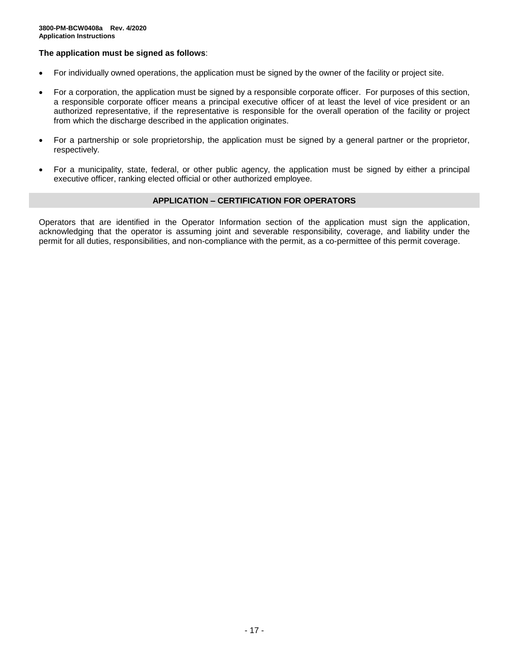### **The application must be signed as follows**:

- For individually owned operations, the application must be signed by the owner of the facility or project site.
- For a corporation, the application must be signed by a responsible corporate officer. For purposes of this section, a responsible corporate officer means a principal executive officer of at least the level of vice president or an authorized representative, if the representative is responsible for the overall operation of the facility or project from which the discharge described in the application originates.
- For a partnership or sole proprietorship, the application must be signed by a general partner or the proprietor, respectively.
- For a municipality, state, federal, or other public agency, the application must be signed by either a principal executive officer, ranking elected official or other authorized employee.

#### **APPLICATION – CERTIFICATION FOR OPERATORS**

Operators that are identified in the Operator Information section of the application must sign the application, acknowledging that the operator is assuming joint and severable responsibility, coverage, and liability under the permit for all duties, responsibilities, and non-compliance with the permit, as a co-permittee of this permit coverage.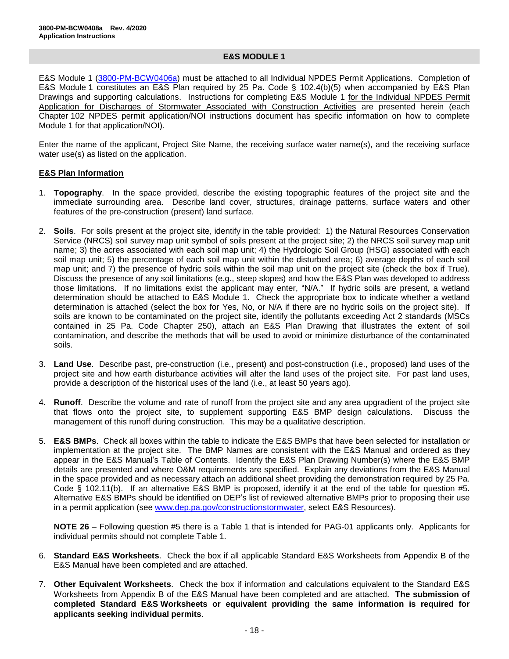#### **E&S MODULE 1**

E&S Module 1 [\(3800-PM-BCW0406a\)](http://www.depgreenport.state.pa.us/elibrary/GetFolder?FolderID=105480) must be attached to all Individual NPDES Permit Applications. Completion of E&S Module 1 constitutes an E&S Plan required by 25 Pa. Code § 102.4(b)(5) when accompanied by E&S Plan Drawings and supporting calculations. Instructions for completing E&S Module 1 for the Individual NPDES Permit Application for Discharges of Stormwater Associated with Construction Activities are presented herein (each Chapter 102 NPDES permit application/NOI instructions document has specific information on how to complete Module 1 for that application/NOI).

Enter the name of the applicant, Project Site Name, the receiving surface water name(s), and the receiving surface water use(s) as listed on the application.

#### **E&S Plan Information**

- 1. **Topography**. In the space provided, describe the existing topographic features of the project site and the immediate surrounding area. Describe land cover, structures, drainage patterns, surface waters and other features of the pre-construction (present) land surface.
- 2. **Soils**. For soils present at the project site, identify in the table provided: 1) the Natural Resources Conservation Service (NRCS) soil survey map unit symbol of soils present at the project site; 2) the NRCS soil survey map unit name; 3) the acres associated with each soil map unit; 4) the Hydrologic Soil Group (HSG) associated with each soil map unit; 5) the percentage of each soil map unit within the disturbed area; 6) average depths of each soil map unit; and 7) the presence of hydric soils within the soil map unit on the project site (check the box if True). Discuss the presence of any soil limitations (e.g., steep slopes) and how the E&S Plan was developed to address those limitations. If no limitations exist the applicant may enter, "N/A." If hydric soils are present, a wetland determination should be attached to E&S Module 1. Check the appropriate box to indicate whether a wetland determination is attached (select the box for Yes, No, or N/A if there are no hydric soils on the project site). If soils are known to be contaminated on the project site, identify the pollutants exceeding Act 2 standards (MSCs contained in 25 Pa. Code Chapter 250), attach an E&S Plan Drawing that illustrates the extent of soil contamination, and describe the methods that will be used to avoid or minimize disturbance of the contaminated soils.
- 3. **Land Use**. Describe past, pre-construction (i.e., present) and post-construction (i.e., proposed) land uses of the project site and how earth disturbance activities will alter the land uses of the project site. For past land uses, provide a description of the historical uses of the land (i.e., at least 50 years ago).
- 4. **Runoff**. Describe the volume and rate of runoff from the project site and any area upgradient of the project site that flows onto the project site, to supplement supporting E&S BMP design calculations. Discuss the management of this runoff during construction. This may be a qualitative description.
- 5. **E&S BMPs**. Check all boxes within the table to indicate the E&S BMPs that have been selected for installation or implementation at the project site. The BMP Names are consistent with the E&S Manual and ordered as they appear in the E&S Manual's Table of Contents. Identify the E&S Plan Drawing Number(s) where the E&S BMP details are presented and where O&M requirements are specified. Explain any deviations from the E&S Manual in the space provided and as necessary attach an additional sheet providing the demonstration required by 25 Pa. Code § 102.11(b). If an alternative E&S BMP is proposed, identify it at the end of the table for question #5. Alternative E&S BMPs should be identified on DEP's list of reviewed alternative BMPs prior to proposing their use in a permit application (see [www.dep.pa.gov/constructionstormwater,](http://www.dep.pa.gov/constructionstormwater) select E&S Resources).

**NOTE 26** – Following question #5 there is a Table 1 that is intended for PAG-01 applicants only. Applicants for individual permits should not complete Table 1.

- 6. **Standard E&S Worksheets**. Check the box if all applicable Standard E&S Worksheets from Appendix B of the E&S Manual have been completed and are attached.
- 7. **Other Equivalent Worksheets**. Check the box if information and calculations equivalent to the Standard E&S Worksheets from Appendix B of the E&S Manual have been completed and are attached. **The submission of completed Standard E&S Worksheets or equivalent providing the same information is required for applicants seeking individual permits**.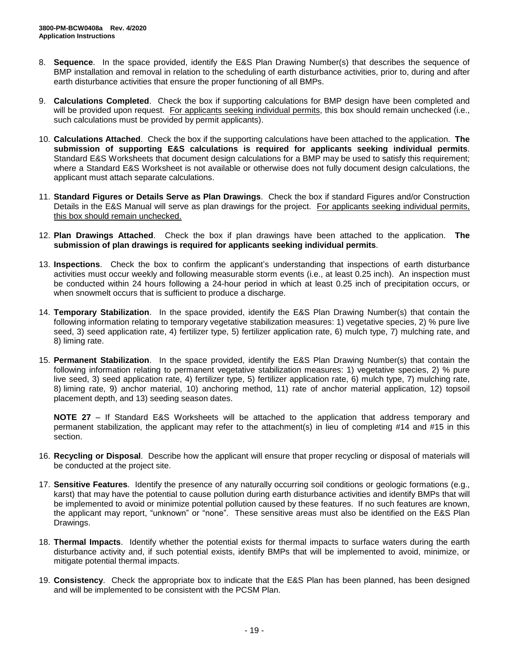- 8. **Sequence**. In the space provided, identify the E&S Plan Drawing Number(s) that describes the sequence of BMP installation and removal in relation to the scheduling of earth disturbance activities, prior to, during and after earth disturbance activities that ensure the proper functioning of all BMPs.
- 9. **Calculations Completed**. Check the box if supporting calculations for BMP design have been completed and will be provided upon request. For applicants seeking individual permits, this box should remain unchecked (i.e., such calculations must be provided by permit applicants).
- 10. **Calculations Attached**. Check the box if the supporting calculations have been attached to the application. **The submission of supporting E&S calculations is required for applicants seeking individual permits**. Standard E&S Worksheets that document design calculations for a BMP may be used to satisfy this requirement; where a Standard E&S Worksheet is not available or otherwise does not fully document design calculations, the applicant must attach separate calculations.
- 11. **Standard Figures or Details Serve as Plan Drawings**. Check the box if standard Figures and/or Construction Details in the E&S Manual will serve as plan drawings for the project. For applicants seeking individual permits, this box should remain unchecked.
- 12. **Plan Drawings Attached**. Check the box if plan drawings have been attached to the application. **The submission of plan drawings is required for applicants seeking individual permits**.
- 13. **Inspections**. Check the box to confirm the applicant's understanding that inspections of earth disturbance activities must occur weekly and following measurable storm events (i.e., at least 0.25 inch). An inspection must be conducted within 24 hours following a 24-hour period in which at least 0.25 inch of precipitation occurs, or when snowmelt occurs that is sufficient to produce a discharge.
- 14. **Temporary Stabilization**. In the space provided, identify the E&S Plan Drawing Number(s) that contain the following information relating to temporary vegetative stabilization measures: 1) vegetative species, 2) % pure live seed, 3) seed application rate, 4) fertilizer type, 5) fertilizer application rate, 6) mulch type, 7) mulching rate, and 8) liming rate.
- 15. **Permanent Stabilization**. In the space provided, identify the E&S Plan Drawing Number(s) that contain the following information relating to permanent vegetative stabilization measures: 1) vegetative species, 2) % pure live seed, 3) seed application rate, 4) fertilizer type, 5) fertilizer application rate, 6) mulch type, 7) mulching rate, 8) liming rate, 9) anchor material, 10) anchoring method, 11) rate of anchor material application, 12) topsoil placement depth, and 13) seeding season dates.

**NOTE 27** – If Standard E&S Worksheets will be attached to the application that address temporary and permanent stabilization, the applicant may refer to the attachment(s) in lieu of completing #14 and #15 in this section.

- 16. **Recycling or Disposal**. Describe how the applicant will ensure that proper recycling or disposal of materials will be conducted at the project site.
- 17. **Sensitive Features**. Identify the presence of any naturally occurring soil conditions or geologic formations (e.g., karst) that may have the potential to cause pollution during earth disturbance activities and identify BMPs that will be implemented to avoid or minimize potential pollution caused by these features. If no such features are known, the applicant may report, "unknown" or "none". These sensitive areas must also be identified on the E&S Plan Drawings.
- 18. **Thermal Impacts**. Identify whether the potential exists for thermal impacts to surface waters during the earth disturbance activity and, if such potential exists, identify BMPs that will be implemented to avoid, minimize, or mitigate potential thermal impacts.
- 19. **Consistency**. Check the appropriate box to indicate that the E&S Plan has been planned, has been designed and will be implemented to be consistent with the PCSM Plan.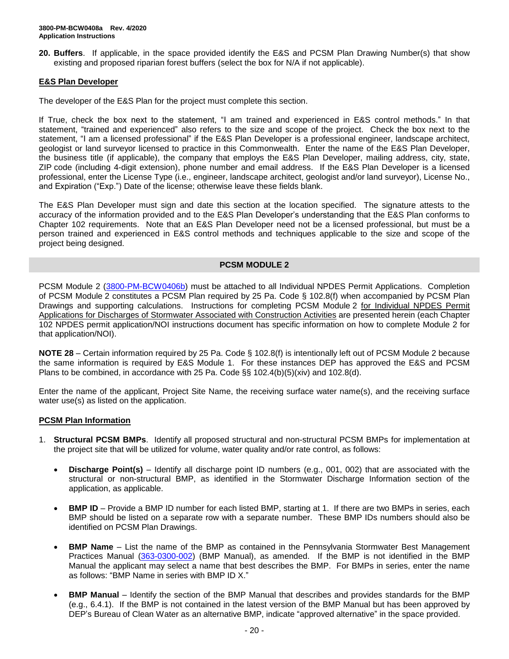**20. Buffers**. If applicable, in the space provided identify the E&S and PCSM Plan Drawing Number(s) that show existing and proposed riparian forest buffers (select the box for N/A if not applicable).

### **E&S Plan Developer**

The developer of the E&S Plan for the project must complete this section.

If True, check the box next to the statement, "I am trained and experienced in E&S control methods." In that statement, "trained and experienced" also refers to the size and scope of the project. Check the box next to the statement, "I am a licensed professional" if the E&S Plan Developer is a professional engineer, landscape architect, geologist or land surveyor licensed to practice in this Commonwealth. Enter the name of the E&S Plan Developer, the business title (if applicable), the company that employs the E&S Plan Developer, mailing address, city, state, ZIP code (including 4-digit extension), phone number and email address. If the E&S Plan Developer is a licensed professional, enter the License Type (i.e., engineer, landscape architect, geologist and/or land surveyor), License No., and Expiration ("Exp.") Date of the license; otherwise leave these fields blank.

The E&S Plan Developer must sign and date this section at the location specified. The signature attests to the accuracy of the information provided and to the E&S Plan Developer's understanding that the E&S Plan conforms to Chapter 102 requirements. Note that an E&S Plan Developer need not be a licensed professional, but must be a person trained and experienced in E&S control methods and techniques applicable to the size and scope of the project being designed.

#### **PCSM MODULE 2**

PCSM Module 2 [\(3800-PM-BCW0406b\)](http://www.depgreenport.state.pa.us/elibrary/GetFolder?FolderID=105480) must be attached to all Individual NPDES Permit Applications. Completion of PCSM Module 2 constitutes a PCSM Plan required by 25 Pa. Code § 102.8(f) when accompanied by PCSM Plan Drawings and supporting calculations. Instructions for completing PCSM Module 2 for Individual NPDES Permit Applications for Discharges of Stormwater Associated with Construction Activities are presented herein (each Chapter 102 NPDES permit application/NOI instructions document has specific information on how to complete Module 2 for that application/NOI).

**NOTE 28** – Certain information required by 25 Pa. Code § 102.8(f) is intentionally left out of PCSM Module 2 because the same information is required by E&S Module 1. For these instances DEP has approved the E&S and PCSM Plans to be combined, in accordance with 25 Pa. Code  $\S$ § 102.4(b)(5)(xiv) and 102.8(d).

Enter the name of the applicant, Project Site Name, the receiving surface water name(s), and the receiving surface water use(s) as listed on the application.

#### **PCSM Plan Information**

- 1. **Structural PCSM BMPs**. Identify all proposed structural and non-structural PCSM BMPs for implementation at the project site that will be utilized for volume, water quality and/or rate control, as follows:
	- **Discharge Point(s)** Identify all discharge point ID numbers (e.g., 001, 002) that are associated with the structural or non-structural BMP, as identified in the Stormwater Discharge Information section of the application, as applicable.
	- **BMP ID** Provide a BMP ID number for each listed BMP, starting at 1. If there are two BMPs in series, each BMP should be listed on a separate row with a separate number. These BMP IDs numbers should also be identified on PCSM Plan Drawings.
	- **BMP Name** List the name of the BMP as contained in the Pennsylvania Stormwater Best Management Practices Manual [\(363-0300-002\)](http://www.depgreenport.state.pa.us/elibrary/GetFolder?FolderID=4673) (BMP Manual), as amended. If the BMP is not identified in the BMP Manual the applicant may select a name that best describes the BMP. For BMPs in series, enter the name as follows: "BMP Name in series with BMP ID X."
	- **BMP Manual** Identify the section of the BMP Manual that describes and provides standards for the BMP (e.g., 6.4.1). If the BMP is not contained in the latest version of the BMP Manual but has been approved by DEP's Bureau of Clean Water as an alternative BMP, indicate "approved alternative" in the space provided.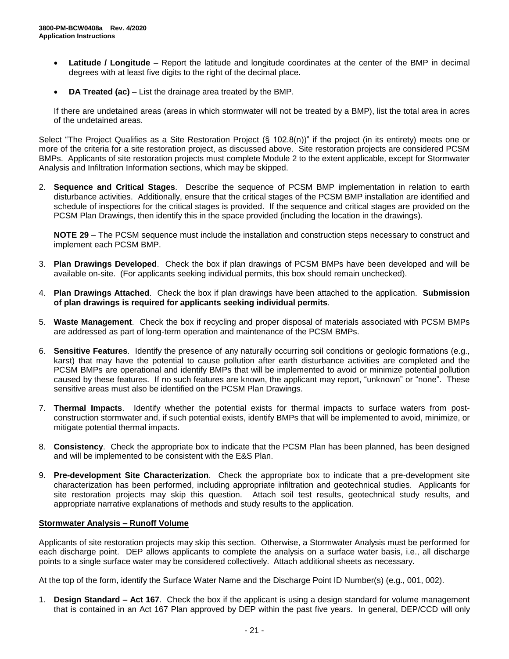- **Latitude / Longitude** Report the latitude and longitude coordinates at the center of the BMP in decimal degrees with at least five digits to the right of the decimal place.
- **DA Treated (ac)** List the drainage area treated by the BMP.

If there are undetained areas (areas in which stormwater will not be treated by a BMP), list the total area in acres of the undetained areas.

Select "The Project Qualifies as a Site Restoration Project (§ 102.8(n))" if the project (in its entirety) meets one or more of the criteria for a site restoration project, as discussed above. Site restoration projects are considered PCSM BMPs. Applicants of site restoration projects must complete Module 2 to the extent applicable, except for Stormwater Analysis and Infiltration Information sections, which may be skipped.

2. **Sequence and Critical Stages**. Describe the sequence of PCSM BMP implementation in relation to earth disturbance activities. Additionally, ensure that the critical stages of the PCSM BMP installation are identified and schedule of inspections for the critical stages is provided. If the sequence and critical stages are provided on the PCSM Plan Drawings, then identify this in the space provided (including the location in the drawings).

**NOTE 29** – The PCSM sequence must include the installation and construction steps necessary to construct and implement each PCSM BMP.

- 3. **Plan Drawings Developed**. Check the box if plan drawings of PCSM BMPs have been developed and will be available on-site. (For applicants seeking individual permits, this box should remain unchecked).
- 4. **Plan Drawings Attached**. Check the box if plan drawings have been attached to the application. **Submission of plan drawings is required for applicants seeking individual permits**.
- 5. **Waste Management**. Check the box if recycling and proper disposal of materials associated with PCSM BMPs are addressed as part of long-term operation and maintenance of the PCSM BMPs.
- 6. **Sensitive Features**. Identify the presence of any naturally occurring soil conditions or geologic formations (e.g., karst) that may have the potential to cause pollution after earth disturbance activities are completed and the PCSM BMPs are operational and identify BMPs that will be implemented to avoid or minimize potential pollution caused by these features. If no such features are known, the applicant may report, "unknown" or "none". These sensitive areas must also be identified on the PCSM Plan Drawings.
- 7. **Thermal Impacts**. Identify whether the potential exists for thermal impacts to surface waters from postconstruction stormwater and, if such potential exists, identify BMPs that will be implemented to avoid, minimize, or mitigate potential thermal impacts.
- 8. **Consistency**. Check the appropriate box to indicate that the PCSM Plan has been planned, has been designed and will be implemented to be consistent with the E&S Plan.
- 9. **Pre-development Site Characterization**. Check the appropriate box to indicate that a pre-development site characterization has been performed, including appropriate infiltration and geotechnical studies. Applicants for site restoration projects may skip this question. Attach soil test results, geotechnical study results, and appropriate narrative explanations of methods and study results to the application.

#### **Stormwater Analysis – Runoff Volume**

Applicants of site restoration projects may skip this section. Otherwise, a Stormwater Analysis must be performed for each discharge point. DEP allows applicants to complete the analysis on a surface water basis, i.e., all discharge points to a single surface water may be considered collectively. Attach additional sheets as necessary.

At the top of the form, identify the Surface Water Name and the Discharge Point ID Number(s) (e.g., 001, 002).

1. **Design Standard – Act 167**. Check the box if the applicant is using a design standard for volume management that is contained in an Act 167 Plan approved by DEP within the past five years. In general, DEP/CCD will only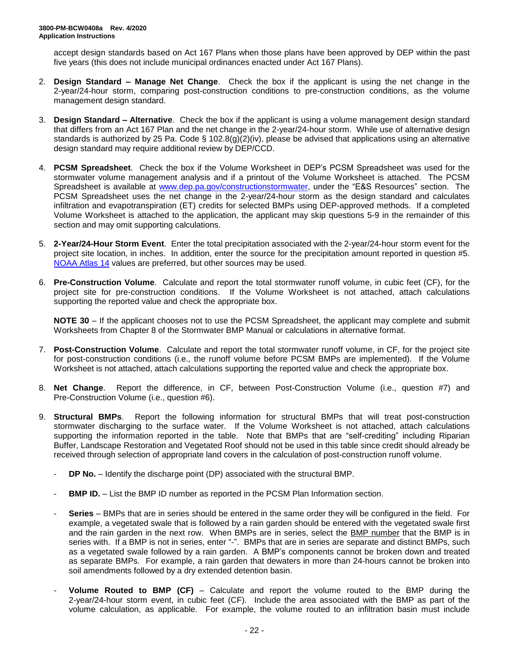accept design standards based on Act 167 Plans when those plans have been approved by DEP within the past five years (this does not include municipal ordinances enacted under Act 167 Plans).

- 2. **Design Standard – Manage Net Change**. Check the box if the applicant is using the net change in the 2-year/24-hour storm, comparing post-construction conditions to pre-construction conditions, as the volume management design standard.
- 3. **Design Standard – Alternative**. Check the box if the applicant is using a volume management design standard that differs from an Act 167 Plan and the net change in the 2-year/24-hour storm. While use of alternative design standards is authorized by 25 Pa. Code § 102.8(g)(2)(iv), please be advised that applications using an alternative design standard may require additional review by DEP/CCD.
- 4. **PCSM Spreadsheet**. Check the box if the Volume Worksheet in DEP's PCSM Spreadsheet was used for the stormwater volume management analysis and if a printout of the Volume Worksheet is attached. The PCSM Spreadsheet is available at [www.dep.pa.gov/constructionstormwater,](http://www.dep.pa.gov/constructionstormwater) under the "E&S Resources" section. The PCSM Spreadsheet uses the net change in the 2-year/24-hour storm as the design standard and calculates infiltration and evapotranspiration (ET) credits for selected BMPs using DEP-approved methods. If a completed Volume Worksheet is attached to the application, the applicant may skip questions 5-9 in the remainder of this section and may omit supporting calculations.
- 5. **2-Year/24-Hour Storm Event**. Enter the total precipitation associated with the 2-year/24-hour storm event for the project site location, in inches. In addition, enter the source for the precipitation amount reported in question #5. [NOAA Atlas 14](https://hdsc.nws.noaa.gov/hdsc/pfds/pfds_map_cont.html) values are preferred, but other sources may be used.
- 6. **Pre-Construction Volume**. Calculate and report the total stormwater runoff volume, in cubic feet (CF), for the project site for pre-construction conditions. If the Volume Worksheet is not attached, attach calculations supporting the reported value and check the appropriate box.

**NOTE 30** – If the applicant chooses not to use the PCSM Spreadsheet, the applicant may complete and submit Worksheets from Chapter 8 of the Stormwater BMP Manual or calculations in alternative format.

- 7. **Post-Construction Volume**. Calculate and report the total stormwater runoff volume, in CF, for the project site for post-construction conditions (i.e., the runoff volume before PCSM BMPs are implemented). If the Volume Worksheet is not attached, attach calculations supporting the reported value and check the appropriate box.
- 8. **Net Change**. Report the difference, in CF, between Post-Construction Volume (i.e., question #7) and Pre-Construction Volume (i.e., question #6).
- 9. **Structural BMPs**. Report the following information for structural BMPs that will treat post-construction stormwater discharging to the surface water. If the Volume Worksheet is not attached, attach calculations supporting the information reported in the table. Note that BMPs that are "self-crediting" including Riparian Buffer, Landscape Restoration and Vegetated Roof should not be used in this table since credit should already be received through selection of appropriate land covers in the calculation of post-construction runoff volume.
	- **DP No.** Identify the discharge point (DP) associated with the structural BMP.
	- **BMP ID.** List the BMP ID number as reported in the PCSM Plan Information section.
	- **Series** BMPs that are in series should be entered in the same order they will be configured in the field. For example, a vegetated swale that is followed by a rain garden should be entered with the vegetated swale first and the rain garden in the next row. When BMPs are in series, select the BMP number that the BMP is in series with. If a BMP is not in series, enter "-". BMPs that are in series are separate and distinct BMPs, such as a vegetated swale followed by a rain garden. A BMP's components cannot be broken down and treated as separate BMPs. For example, a rain garden that dewaters in more than 24-hours cannot be broken into soil amendments followed by a dry extended detention basin.
	- **Volume Routed to BMP (CF)** Calculate and report the volume routed to the BMP during the 2-year/24-hour storm event, in cubic feet (CF). Include the area associated with the BMP as part of the volume calculation, as applicable. For example, the volume routed to an infiltration basin must include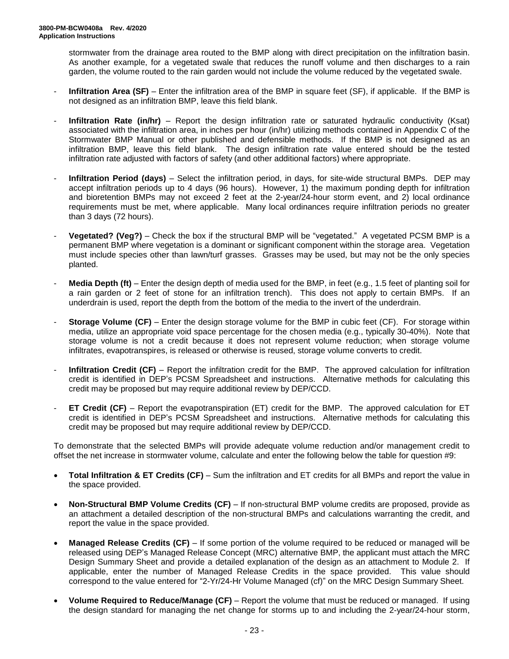stormwater from the drainage area routed to the BMP along with direct precipitation on the infiltration basin. As another example, for a vegetated swale that reduces the runoff volume and then discharges to a rain garden, the volume routed to the rain garden would not include the volume reduced by the vegetated swale.

- **Infiltration Area (SF)** Enter the infiltration area of the BMP in square feet (SF), if applicable. If the BMP is not designed as an infiltration BMP, leave this field blank.
- **Infiltration Rate (in/hr)** Report the design infiltration rate or saturated hydraulic conductivity (Ksat) associated with the infiltration area, in inches per hour (in/hr) utilizing methods contained in Appendix C of the Stormwater BMP Manual or other published and defensible methods. If the BMP is not designed as an infiltration BMP, leave this field blank. The design infiltration rate value entered should be the tested infiltration rate adjusted with factors of safety (and other additional factors) where appropriate.
- **Infiltration Period (days)** Select the infiltration period, in days, for site-wide structural BMPs. DEP may accept infiltration periods up to 4 days (96 hours). However, 1) the maximum ponding depth for infiltration and bioretention BMPs may not exceed 2 feet at the 2-year/24-hour storm event, and 2) local ordinance requirements must be met, where applicable. Many local ordinances require infiltration periods no greater than 3 days (72 hours).
- **Vegetated? (Veg?)** Check the box if the structural BMP will be "vegetated." A vegetated PCSM BMP is a permanent BMP where vegetation is a dominant or significant component within the storage area. Vegetation must include species other than lawn/turf grasses. Grasses may be used, but may not be the only species planted.
- **Media Depth (ft)** Enter the design depth of media used for the BMP, in feet (e.g., 1.5 feet of planting soil for a rain garden or 2 feet of stone for an infiltration trench). This does not apply to certain BMPs. If an underdrain is used, report the depth from the bottom of the media to the invert of the underdrain.
- **Storage Volume (CF)** Enter the design storage volume for the BMP in cubic feet (CF). For storage within media, utilize an appropriate void space percentage for the chosen media (e.g., typically 30-40%). Note that storage volume is not a credit because it does not represent volume reduction; when storage volume infiltrates, evapotranspires, is released or otherwise is reused, storage volume converts to credit.
- **Infiltration Credit (CF)** Report the infiltration credit for the BMP. The approved calculation for infiltration credit is identified in DEP's PCSM Spreadsheet and instructions. Alternative methods for calculating this credit may be proposed but may require additional review by DEP/CCD.
- **ET Credit (CF)** Report the evapotranspiration (ET) credit for the BMP. The approved calculation for ET credit is identified in DEP's PCSM Spreadsheet and instructions. Alternative methods for calculating this credit may be proposed but may require additional review by DEP/CCD.

To demonstrate that the selected BMPs will provide adequate volume reduction and/or management credit to offset the net increase in stormwater volume, calculate and enter the following below the table for question #9:

- **Total Infiltration & ET Credits (CF)** Sum the infiltration and ET credits for all BMPs and report the value in the space provided.
- **Non-Structural BMP Volume Credits (CF)** If non-structural BMP volume credits are proposed, provide as an attachment a detailed description of the non-structural BMPs and calculations warranting the credit, and report the value in the space provided.
- **Managed Release Credits (CF)** If some portion of the volume required to be reduced or managed will be released using DEP's Managed Release Concept (MRC) alternative BMP, the applicant must attach the MRC Design Summary Sheet and provide a detailed explanation of the design as an attachment to Module 2. If applicable, enter the number of Managed Release Credits in the space provided. This value should correspond to the value entered for "2-Yr/24-Hr Volume Managed (cf)" on the MRC Design Summary Sheet.
- **Volume Required to Reduce/Manage (CF)** Report the volume that must be reduced or managed. If using the design standard for managing the net change for storms up to and including the 2-year/24-hour storm,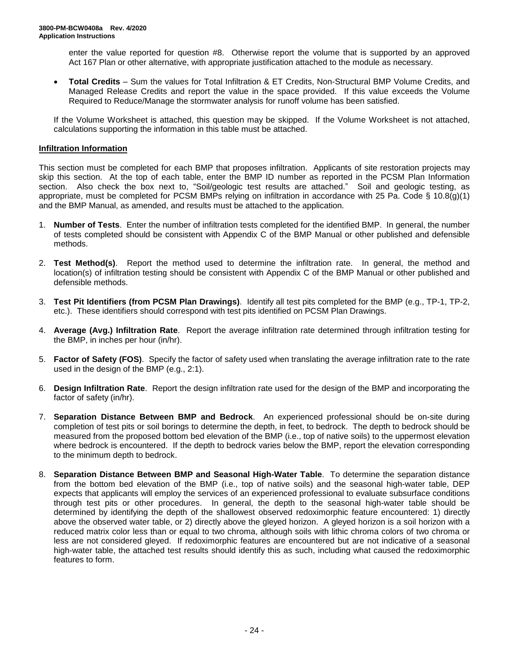enter the value reported for question #8. Otherwise report the volume that is supported by an approved Act 167 Plan or other alternative, with appropriate justification attached to the module as necessary.

• **Total Credits** – Sum the values for Total Infiltration & ET Credits, Non-Structural BMP Volume Credits, and Managed Release Credits and report the value in the space provided. If this value exceeds the Volume Required to Reduce/Manage the stormwater analysis for runoff volume has been satisfied.

If the Volume Worksheet is attached, this question may be skipped. If the Volume Worksheet is not attached, calculations supporting the information in this table must be attached.

#### **Infiltration Information**

This section must be completed for each BMP that proposes infiltration. Applicants of site restoration projects may skip this section. At the top of each table, enter the BMP ID number as reported in the PCSM Plan Information section. Also check the box next to, "Soil/geologic test results are attached." Soil and geologic testing, as appropriate, must be completed for PCSM BMPs relying on infiltration in accordance with 25 Pa. Code § 10.8(g)(1) and the BMP Manual, as amended, and results must be attached to the application.

- 1. **Number of Tests**. Enter the number of infiltration tests completed for the identified BMP. In general, the number of tests completed should be consistent with Appendix C of the BMP Manual or other published and defensible methods.
- 2. **Test Method(s)**. Report the method used to determine the infiltration rate. In general, the method and location(s) of infiltration testing should be consistent with Appendix C of the BMP Manual or other published and defensible methods.
- 3. **Test Pit Identifiers (from PCSM Plan Drawings)**. Identify all test pits completed for the BMP (e.g., TP-1, TP-2, etc.). These identifiers should correspond with test pits identified on PCSM Plan Drawings.
- 4. **Average (Avg.) Infiltration Rate**. Report the average infiltration rate determined through infiltration testing for the BMP, in inches per hour (in/hr).
- 5. **Factor of Safety (FOS)**. Specify the factor of safety used when translating the average infiltration rate to the rate used in the design of the BMP (e.g., 2:1).
- 6. **Design Infiltration Rate**. Report the design infiltration rate used for the design of the BMP and incorporating the factor of safety (in/hr).
- 7. **Separation Distance Between BMP and Bedrock**. An experienced professional should be on-site during completion of test pits or soil borings to determine the depth, in feet, to bedrock. The depth to bedrock should be measured from the proposed bottom bed elevation of the BMP (i.e., top of native soils) to the uppermost elevation where bedrock is encountered. If the depth to bedrock varies below the BMP, report the elevation corresponding to the minimum depth to bedrock.
- 8. **Separation Distance Between BMP and Seasonal High-Water Table**. To determine the separation distance from the bottom bed elevation of the BMP (i.e., top of native soils) and the seasonal high-water table, DEP expects that applicants will employ the services of an experienced professional to evaluate subsurface conditions through test pits or other procedures. In general, the depth to the seasonal high-water table should be determined by identifying the depth of the shallowest observed redoximorphic feature encountered: 1) directly above the observed water table, or 2) directly above the gleyed horizon. A gleyed horizon is a soil horizon with a reduced matrix color less than or equal to two chroma, although soils with lithic chroma colors of two chroma or less are not considered gleyed. If redoximorphic features are encountered but are not indicative of a seasonal high-water table, the attached test results should identify this as such, including what caused the redoximorphic features to form.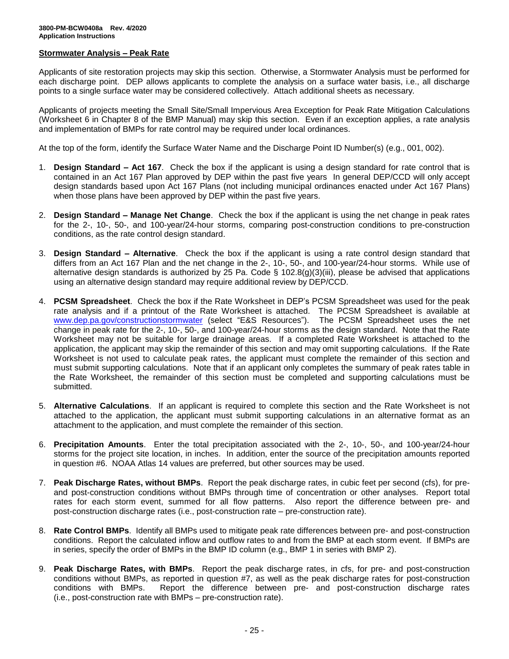#### **Stormwater Analysis – Peak Rate**

Applicants of site restoration projects may skip this section. Otherwise, a Stormwater Analysis must be performed for each discharge point. DEP allows applicants to complete the analysis on a surface water basis, i.e., all discharge points to a single surface water may be considered collectively. Attach additional sheets as necessary.

Applicants of projects meeting the Small Site/Small Impervious Area Exception for Peak Rate Mitigation Calculations (Worksheet 6 in Chapter 8 of the BMP Manual) may skip this section. Even if an exception applies, a rate analysis and implementation of BMPs for rate control may be required under local ordinances.

At the top of the form, identify the Surface Water Name and the Discharge Point ID Number(s) (e.g., 001, 002).

- 1. **Design Standard – Act 167**. Check the box if the applicant is using a design standard for rate control that is contained in an Act 167 Plan approved by DEP within the past five years In general DEP/CCD will only accept design standards based upon Act 167 Plans (not including municipal ordinances enacted under Act 167 Plans) when those plans have been approved by DEP within the past five years.
- 2. **Design Standard – Manage Net Change**. Check the box if the applicant is using the net change in peak rates for the 2-, 10-, 50-, and 100-year/24-hour storms, comparing post-construction conditions to pre-construction conditions, as the rate control design standard.
- 3. **Design Standard – Alternative**. Check the box if the applicant is using a rate control design standard that differs from an Act 167 Plan and the net change in the 2-, 10-, 50-, and 100-year/24-hour storms. While use of alternative design standards is authorized by 25 Pa. Code § 102.8(g)(3)(iii), please be advised that applications using an alternative design standard may require additional review by DEP/CCD.
- 4. **PCSM Spreadsheet**. Check the box if the Rate Worksheet in DEP's PCSM Spreadsheet was used for the peak rate analysis and if a printout of the Rate Worksheet is attached. The PCSM Spreadsheet is available at [www.dep.pa.gov/constructionstormwater](http://www.dep.pa.gov/constructionstormwater) (select "E&S Resources"). The PCSM Spreadsheet uses the net change in peak rate for the 2-, 10-, 50-, and 100-year/24-hour storms as the design standard. Note that the Rate Worksheet may not be suitable for large drainage areas. If a completed Rate Worksheet is attached to the application, the applicant may skip the remainder of this section and may omit supporting calculations. If the Rate Worksheet is not used to calculate peak rates, the applicant must complete the remainder of this section and must submit supporting calculations. Note that if an applicant only completes the summary of peak rates table in the Rate Worksheet, the remainder of this section must be completed and supporting calculations must be submitted.
- 5. **Alternative Calculations**. If an applicant is required to complete this section and the Rate Worksheet is not attached to the application, the applicant must submit supporting calculations in an alternative format as an attachment to the application, and must complete the remainder of this section.
- 6. **Precipitation Amounts**. Enter the total precipitation associated with the 2-, 10-, 50-, and 100-year/24-hour storms for the project site location, in inches. In addition, enter the source of the precipitation amounts reported in question #6. NOAA Atlas 14 values are preferred, but other sources may be used.
- 7. **Peak Discharge Rates, without BMPs**. Report the peak discharge rates, in cubic feet per second (cfs), for preand post-construction conditions without BMPs through time of concentration or other analyses. Report total rates for each storm event, summed for all flow patterns. Also report the difference between pre- and post-construction discharge rates (i.e., post-construction rate – pre-construction rate).
- 8. **Rate Control BMPs**. Identify all BMPs used to mitigate peak rate differences between pre- and post-construction conditions. Report the calculated inflow and outflow rates to and from the BMP at each storm event. If BMPs are in series, specify the order of BMPs in the BMP ID column (e.g., BMP 1 in series with BMP 2).
- 9. **Peak Discharge Rates, with BMPs**. Report the peak discharge rates, in cfs, for pre- and post-construction conditions without BMPs, as reported in question #7, as well as the peak discharge rates for post-construction conditions with BMPs. Report the difference between pre- and post-construction discharge rates (i.e., post-construction rate with BMPs – pre-construction rate).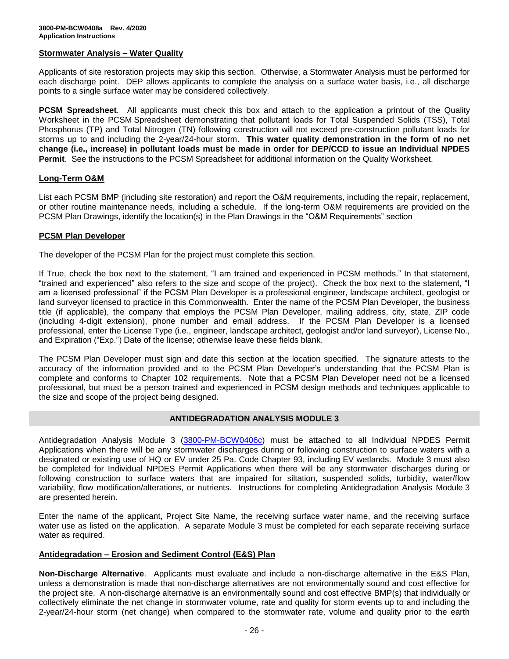#### **Stormwater Analysis – Water Quality**

Applicants of site restoration projects may skip this section. Otherwise, a Stormwater Analysis must be performed for each discharge point. DEP allows applicants to complete the analysis on a surface water basis, i.e., all discharge points to a single surface water may be considered collectively.

**PCSM Spreadsheet**. All applicants must check this box and attach to the application a printout of the Quality Worksheet in the PCSM Spreadsheet demonstrating that pollutant loads for Total Suspended Solids (TSS), Total Phosphorus (TP) and Total Nitrogen (TN) following construction will not exceed pre-construction pollutant loads for storms up to and including the 2-year/24-hour storm. **This water quality demonstration in the form of no net change (i.e., increase) in pollutant loads must be made in order for DEP/CCD to issue an Individual NPDES Permit**. See the instructions to the PCSM Spreadsheet for additional information on the Quality Worksheet.

#### **Long-Term O&M**

List each PCSM BMP (including site restoration) and report the O&M requirements, including the repair, replacement, or other routine maintenance needs, including a schedule. If the long-term O&M requirements are provided on the PCSM Plan Drawings, identify the location(s) in the Plan Drawings in the "O&M Requirements" section

#### **PCSM Plan Developer**

The developer of the PCSM Plan for the project must complete this section.

If True, check the box next to the statement, "I am trained and experienced in PCSM methods." In that statement, "trained and experienced" also refers to the size and scope of the project). Check the box next to the statement, "I am a licensed professional" if the PCSM Plan Developer is a professional engineer, landscape architect, geologist or land surveyor licensed to practice in this Commonwealth. Enter the name of the PCSM Plan Developer, the business title (if applicable), the company that employs the PCSM Plan Developer, mailing address, city, state, ZIP code (including 4-digit extension), phone number and email address. If the PCSM Plan Developer is a licensed professional, enter the License Type (i.e., engineer, landscape architect, geologist and/or land surveyor), License No., and Expiration ("Exp.") Date of the license; otherwise leave these fields blank.

The PCSM Plan Developer must sign and date this section at the location specified. The signature attests to the accuracy of the information provided and to the PCSM Plan Developer's understanding that the PCSM Plan is complete and conforms to Chapter 102 requirements. Note that a PCSM Plan Developer need not be a licensed professional, but must be a person trained and experienced in PCSM design methods and techniques applicable to the size and scope of the project being designed.

#### **ANTIDEGRADATION ANALYSIS MODULE 3**

Antidegradation Analysis Module 3 [\(3800-PM-BCW0406c\)](http://www.depgreenport.state.pa.us/elibrary/GetFolder?FolderID=105480) must be attached to all Individual NPDES Permit Applications when there will be any stormwater discharges during or following construction to surface waters with a designated or existing use of HQ or EV under 25 Pa. Code Chapter 93, including EV wetlands. Module 3 must also be completed for Individual NPDES Permit Applications when there will be any stormwater discharges during or following construction to surface waters that are impaired for siltation, suspended solids, turbidity, water/flow variability, flow modification/alterations, or nutrients. Instructions for completing Antidegradation Analysis Module 3 are presented herein.

Enter the name of the applicant, Project Site Name, the receiving surface water name, and the receiving surface water use as listed on the application. A separate Module 3 must be completed for each separate receiving surface water as required.

#### **Antidegradation – Erosion and Sediment Control (E&S) Plan**

**Non-Discharge Alternative**. Applicants must evaluate and include a non-discharge alternative in the E&S Plan, unless a demonstration is made that non-discharge alternatives are not environmentally sound and cost effective for the project site. A non-discharge alternative is an environmentally sound and cost effective BMP(s) that individually or collectively eliminate the net change in stormwater volume, rate and quality for storm events up to and including the 2-year/24-hour storm (net change) when compared to the stormwater rate, volume and quality prior to the earth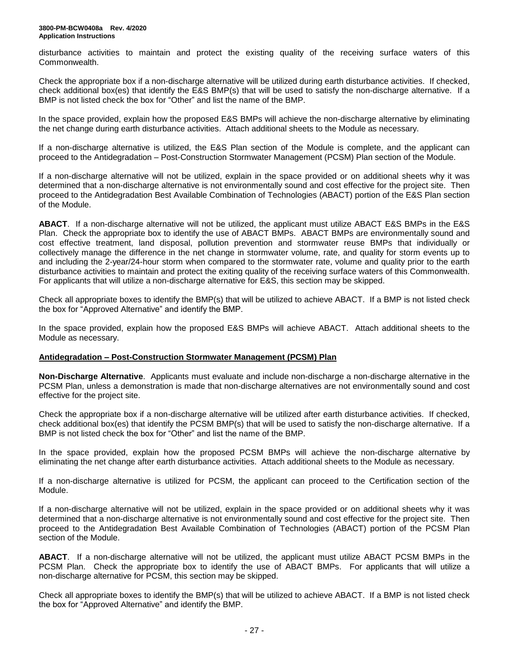disturbance activities to maintain and protect the existing quality of the receiving surface waters of this Commonwealth.

Check the appropriate box if a non-discharge alternative will be utilized during earth disturbance activities. If checked, check additional box(es) that identify the E&S BMP(s) that will be used to satisfy the non-discharge alternative. If a BMP is not listed check the box for "Other" and list the name of the BMP.

In the space provided, explain how the proposed E&S BMPs will achieve the non-discharge alternative by eliminating the net change during earth disturbance activities. Attach additional sheets to the Module as necessary.

If a non-discharge alternative is utilized, the E&S Plan section of the Module is complete, and the applicant can proceed to the Antidegradation – Post-Construction Stormwater Management (PCSM) Plan section of the Module.

If a non-discharge alternative will not be utilized, explain in the space provided or on additional sheets why it was determined that a non-discharge alternative is not environmentally sound and cost effective for the project site. Then proceed to the Antidegradation Best Available Combination of Technologies (ABACT) portion of the E&S Plan section of the Module.

**ABACT**. If a non-discharge alternative will not be utilized, the applicant must utilize ABACT E&S BMPs in the E&S Plan. Check the appropriate box to identify the use of ABACT BMPs. ABACT BMPs are environmentally sound and cost effective treatment, land disposal, pollution prevention and stormwater reuse BMPs that individually or collectively manage the difference in the net change in stormwater volume, rate, and quality for storm events up to and including the 2-year/24-hour storm when compared to the stormwater rate, volume and quality prior to the earth disturbance activities to maintain and protect the exiting quality of the receiving surface waters of this Commonwealth. For applicants that will utilize a non-discharge alternative for E&S, this section may be skipped.

Check all appropriate boxes to identify the BMP(s) that will be utilized to achieve ABACT. If a BMP is not listed check the box for "Approved Alternative" and identify the BMP.

In the space provided, explain how the proposed E&S BMPs will achieve ABACT. Attach additional sheets to the Module as necessary.

#### **Antidegradation – Post-Construction Stormwater Management (PCSM) Plan**

**Non-Discharge Alternative**. Applicants must evaluate and include non-discharge a non-discharge alternative in the PCSM Plan, unless a demonstration is made that non-discharge alternatives are not environmentally sound and cost effective for the project site.

Check the appropriate box if a non-discharge alternative will be utilized after earth disturbance activities. If checked, check additional box(es) that identify the PCSM BMP(s) that will be used to satisfy the non-discharge alternative. If a BMP is not listed check the box for "Other" and list the name of the BMP.

In the space provided, explain how the proposed PCSM BMPs will achieve the non-discharge alternative by eliminating the net change after earth disturbance activities. Attach additional sheets to the Module as necessary.

If a non-discharge alternative is utilized for PCSM, the applicant can proceed to the Certification section of the Module.

If a non-discharge alternative will not be utilized, explain in the space provided or on additional sheets why it was determined that a non-discharge alternative is not environmentally sound and cost effective for the project site. Then proceed to the Antidegradation Best Available Combination of Technologies (ABACT) portion of the PCSM Plan section of the Module.

**ABACT**. If a non-discharge alternative will not be utilized, the applicant must utilize ABACT PCSM BMPs in the PCSM Plan. Check the appropriate box to identify the use of ABACT BMPs. For applicants that will utilize a non-discharge alternative for PCSM, this section may be skipped.

Check all appropriate boxes to identify the BMP(s) that will be utilized to achieve ABACT. If a BMP is not listed check the box for "Approved Alternative" and identify the BMP.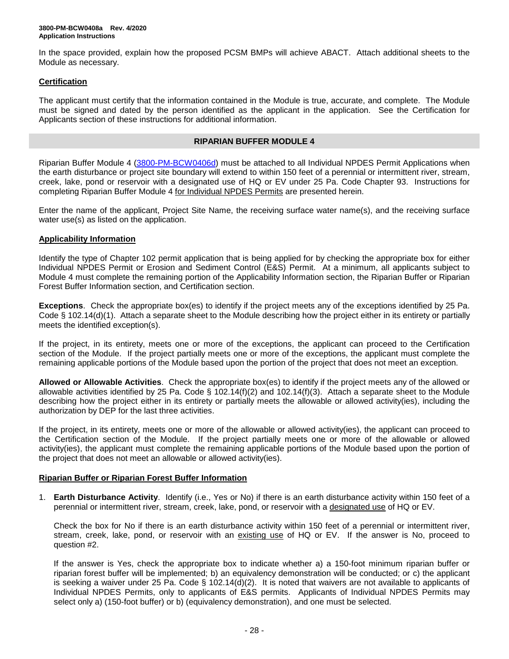In the space provided, explain how the proposed PCSM BMPs will achieve ABACT. Attach additional sheets to the Module as necessary.

## **Certification**

The applicant must certify that the information contained in the Module is true, accurate, and complete. The Module must be signed and dated by the person identified as the applicant in the application. See the Certification for Applicants section of these instructions for additional information.

### **RIPARIAN BUFFER MODULE 4**

Riparian Buffer Module 4 [\(3800-PM-BCW0406d\)](http://www.depgreenport.state.pa.us/elibrary/GetFolder?FolderID=105480) must be attached to all Individual NPDES Permit Applications when the earth disturbance or project site boundary will extend to within 150 feet of a perennial or intermittent river, stream, creek, lake, pond or reservoir with a designated use of HQ or EV under 25 Pa. Code Chapter 93. Instructions for completing Riparian Buffer Module 4 for Individual NPDES Permits are presented herein.

Enter the name of the applicant, Project Site Name, the receiving surface water name(s), and the receiving surface water use(s) as listed on the application.

# **Applicability Information**

Identify the type of Chapter 102 permit application that is being applied for by checking the appropriate box for either Individual NPDES Permit or Erosion and Sediment Control (E&S) Permit. At a minimum, all applicants subject to Module 4 must complete the remaining portion of the Applicability Information section, the Riparian Buffer or Riparian Forest Buffer Information section, and Certification section.

**Exceptions**. Check the appropriate box(es) to identify if the project meets any of the exceptions identified by 25 Pa. Code § 102.14(d)(1). Attach a separate sheet to the Module describing how the project either in its entirety or partially meets the identified exception(s).

If the project, in its entirety, meets one or more of the exceptions, the applicant can proceed to the Certification section of the Module. If the project partially meets one or more of the exceptions, the applicant must complete the remaining applicable portions of the Module based upon the portion of the project that does not meet an exception.

**Allowed or Allowable Activities**. Check the appropriate box(es) to identify if the project meets any of the allowed or allowable activities identified by 25 Pa. Code § 102.14(f)(2) and 102.14(f)(3). Attach a separate sheet to the Module describing how the project either in its entirety or partially meets the allowable or allowed activity(ies), including the authorization by DEP for the last three activities.

If the project, in its entirety, meets one or more of the allowable or allowed activity(ies), the applicant can proceed to the Certification section of the Module. If the project partially meets one or more of the allowable or allowed activity(ies), the applicant must complete the remaining applicable portions of the Module based upon the portion of the project that does not meet an allowable or allowed activity(ies).

# **Riparian Buffer or Riparian Forest Buffer Information**

1. **Earth Disturbance Activity**.Identify (i.e., Yes or No) if there is an earth disturbance activity within 150 feet of a perennial or intermittent river, stream, creek, lake, pond, or reservoir with a designated use of HQ or EV.

Check the box for No if there is an earth disturbance activity within 150 feet of a perennial or intermittent river, stream, creek, lake, pond, or reservoir with an existing use of HQ or EV. If the answer is No, proceed to question #2.

If the answer is Yes, check the appropriate box to indicate whether a) a 150-foot minimum riparian buffer or riparian forest buffer will be implemented; b) an equivalency demonstration will be conducted; or c) the applicant is seeking a waiver under 25 Pa. Code § 102.14(d)(2). It is noted that waivers are not available to applicants of Individual NPDES Permits, only to applicants of E&S permits. Applicants of Individual NPDES Permits may select only a) (150-foot buffer) or b) (equivalency demonstration), and one must be selected.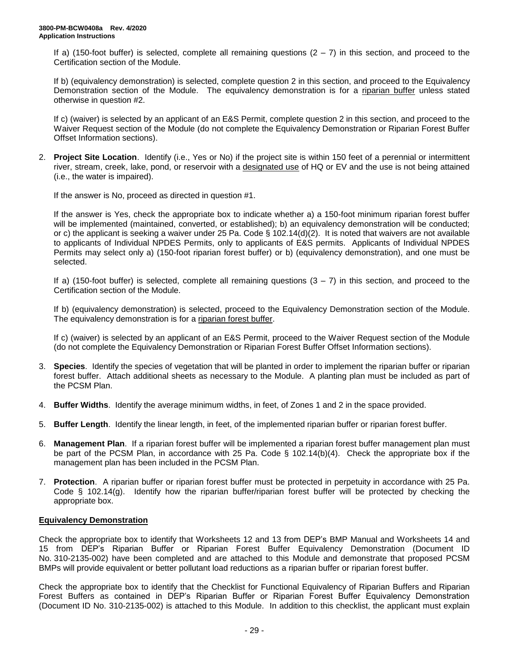If a) (150-foot buffer) is selected, complete all remaining questions  $(2 - 7)$  in this section, and proceed to the Certification section of the Module.

If b) (equivalency demonstration) is selected, complete question 2 in this section, and proceed to the Equivalency Demonstration section of the Module. The equivalency demonstration is for a riparian buffer unless stated otherwise in question #2.

If c) (waiver) is selected by an applicant of an E&S Permit, complete question 2 in this section, and proceed to the Waiver Request section of the Module (do not complete the Equivalency Demonstration or Riparian Forest Buffer Offset Information sections).

2. **Project Site Location**. Identify (i.e., Yes or No) if the project site is within 150 feet of a perennial or intermittent river, stream, creek, lake, pond, or reservoir with a designated use of HQ or EV and the use is not being attained (i.e., the water is impaired).

If the answer is No, proceed as directed in question #1.

If the answer is Yes, check the appropriate box to indicate whether a) a 150-foot minimum riparian forest buffer will be implemented (maintained, converted, or established); b) an equivalency demonstration will be conducted; or c) the applicant is seeking a waiver under 25 Pa. Code § 102.14(d)(2). It is noted that waivers are not available to applicants of Individual NPDES Permits, only to applicants of E&S permits. Applicants of Individual NPDES Permits may select only a) (150-foot riparian forest buffer) or b) (equivalency demonstration), and one must be selected.

If a) (150-foot buffer) is selected, complete all remaining questions  $(3 - 7)$  in this section, and proceed to the Certification section of the Module.

If b) (equivalency demonstration) is selected, proceed to the Equivalency Demonstration section of the Module. The equivalency demonstration is for a riparian forest buffer.

If c) (waiver) is selected by an applicant of an E&S Permit, proceed to the Waiver Request section of the Module (do not complete the Equivalency Demonstration or Riparian Forest Buffer Offset Information sections).

- 3. **Species**. Identify the species of vegetation that will be planted in order to implement the riparian buffer or riparian forest buffer. Attach additional sheets as necessary to the Module. A planting plan must be included as part of the PCSM Plan.
- 4. **Buffer Widths**. Identify the average minimum widths, in feet, of Zones 1 and 2 in the space provided.
- 5. **Buffer Length**. Identify the linear length, in feet, of the implemented riparian buffer or riparian forest buffer.
- 6. **Management Plan**. If a riparian forest buffer will be implemented a riparian forest buffer management plan must be part of the PCSM Plan, in accordance with 25 Pa. Code § 102.14(b)(4). Check the appropriate box if the management plan has been included in the PCSM Plan.
- 7. **Protection**. A riparian buffer or riparian forest buffer must be protected in perpetuity in accordance with 25 Pa. Code § 102.14(g). Identify how the riparian buffer/riparian forest buffer will be protected by checking the appropriate box.

#### **Equivalency Demonstration**

Check the appropriate box to identify that Worksheets 12 and 13 from DEP's BMP Manual and Worksheets 14 and 15 from DEP's Riparian Buffer or Riparian Forest Buffer Equivalency Demonstration (Document ID No. 310-2135-002) have been completed and are attached to this Module and demonstrate that proposed PCSM BMPs will provide equivalent or better pollutant load reductions as a riparian buffer or riparian forest buffer.

Check the appropriate box to identify that the Checklist for Functional Equivalency of Riparian Buffers and Riparian Forest Buffers as contained in DEP's Riparian Buffer or Riparian Forest Buffer Equivalency Demonstration (Document ID No. 310-2135-002) is attached to this Module. In addition to this checklist, the applicant must explain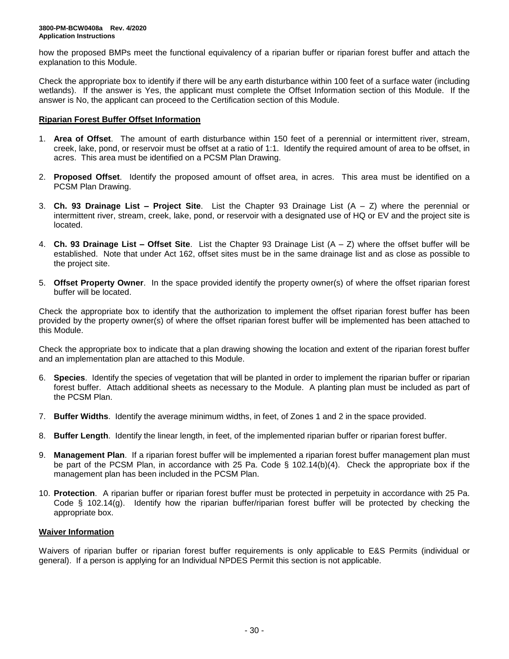how the proposed BMPs meet the functional equivalency of a riparian buffer or riparian forest buffer and attach the explanation to this Module.

Check the appropriate box to identify if there will be any earth disturbance within 100 feet of a surface water (including wetlands). If the answer is Yes, the applicant must complete the Offset Information section of this Module. If the answer is No, the applicant can proceed to the Certification section of this Module.

### **Riparian Forest Buffer Offset Information**

- 1. **Area of Offset**. The amount of earth disturbance within 150 feet of a perennial or intermittent river, stream, creek, lake, pond, or reservoir must be offset at a ratio of 1:1. Identify the required amount of area to be offset, in acres. This area must be identified on a PCSM Plan Drawing.
- 2. **Proposed Offset**. Identify the proposed amount of offset area, in acres. This area must be identified on a PCSM Plan Drawing.
- 3. **Ch. 93 Drainage List – Project Site**. List the Chapter 93 Drainage List (A Z) where the perennial or intermittent river, stream, creek, lake, pond, or reservoir with a designated use of HQ or EV and the project site is located.
- 4. **Ch. 93 Drainage List – Offset Site**. List the Chapter 93 Drainage List (A Z) where the offset buffer will be established. Note that under Act 162, offset sites must be in the same drainage list and as close as possible to the project site.
- 5. **Offset Property Owner**. In the space provided identify the property owner(s) of where the offset riparian forest buffer will be located.

Check the appropriate box to identify that the authorization to implement the offset riparian forest buffer has been provided by the property owner(s) of where the offset riparian forest buffer will be implemented has been attached to this Module.

Check the appropriate box to indicate that a plan drawing showing the location and extent of the riparian forest buffer and an implementation plan are attached to this Module.

- 6. **Species**. Identify the species of vegetation that will be planted in order to implement the riparian buffer or riparian forest buffer. Attach additional sheets as necessary to the Module. A planting plan must be included as part of the PCSM Plan.
- 7. **Buffer Widths**. Identify the average minimum widths, in feet, of Zones 1 and 2 in the space provided.
- 8. **Buffer Length**. Identify the linear length, in feet, of the implemented riparian buffer or riparian forest buffer.
- 9. **Management Plan**. If a riparian forest buffer will be implemented a riparian forest buffer management plan must be part of the PCSM Plan, in accordance with 25 Pa. Code § 102.14(b)(4). Check the appropriate box if the management plan has been included in the PCSM Plan.
- 10. **Protection**. A riparian buffer or riparian forest buffer must be protected in perpetuity in accordance with 25 Pa. Code § 102.14(g). Identify how the riparian buffer/riparian forest buffer will be protected by checking the appropriate box.

#### **Waiver Information**

Waivers of riparian buffer or riparian forest buffer requirements is only applicable to E&S Permits (individual or general). If a person is applying for an Individual NPDES Permit this section is not applicable.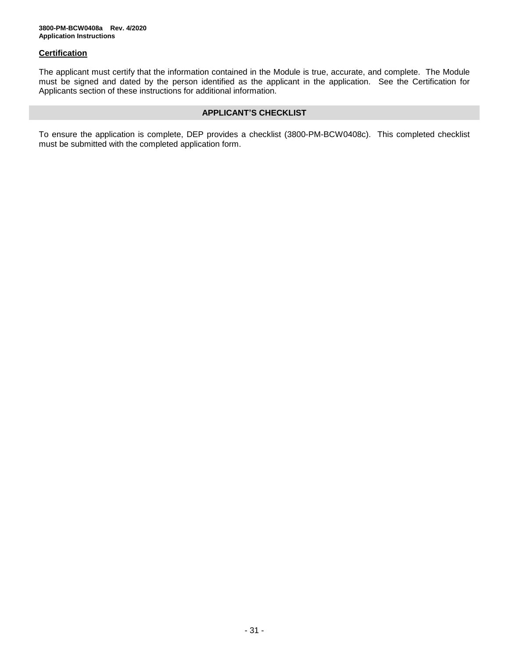### **Certification**

The applicant must certify that the information contained in the Module is true, accurate, and complete. The Module must be signed and dated by the person identified as the applicant in the application. See the Certification for Applicants section of these instructions for additional information.

### **APPLICANT'S CHECKLIST**

To ensure the application is complete, DEP provides a checklist (3800-PM-BCW0408c). This completed checklist must be submitted with the completed application form.